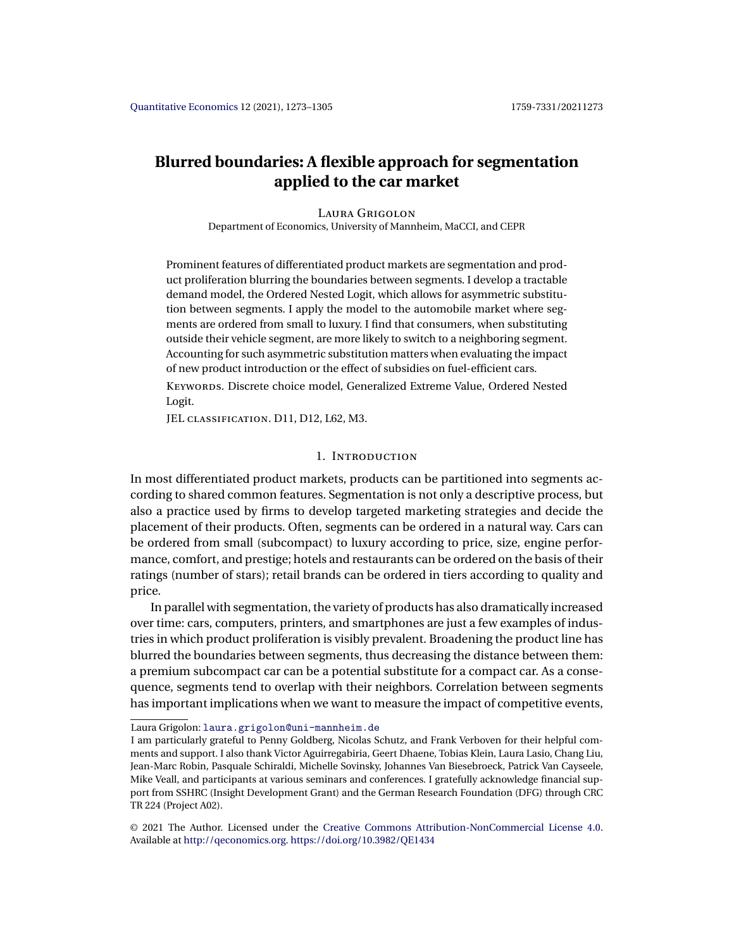# **Blurred boundaries: A flexible approach for segmentation applied to the car market**

## Laura Grigolon

Department of Economics, University of Mannheim, MaCCI, and CEPR

Prominent features of differentiated product markets are segmentation and product proliferation blurring the boundaries between segments. I develop a tractable demand model, the Ordered Nested Logit, which allows for asymmetric substitution between segments. I apply the model to the automobile market where segments are ordered from small to luxury. I find that consumers, when substituting outside their vehicle segment, are more likely to switch to a neighboring segment. Accounting for such asymmetric substitution matters when evaluating the impact of new product introduction or the effect of subsidies on fuel-efficient cars.

Keywords. Discrete choice model, Generalized Extreme Value, Ordered Nested Logit.

JEL classification. D11, D12, L62, M3.

## 1. Introduction

In most differentiated product markets, products can be partitioned into segments according to shared common features. Segmentation is not only a descriptive process, but also a practice used by firms to develop targeted marketing strategies and decide the placement of their products. Often, segments can be ordered in a natural way. Cars can be ordered from small (subcompact) to luxury according to price, size, engine performance, comfort, and prestige; hotels and restaurants can be ordered on the basis of their ratings (number of stars); retail brands can be ordered in tiers according to quality and price.

In parallel with segmentation, the variety of products has also dramatically increased over time: cars, computers, printers, and smartphones are just a few examples of industries in which product proliferation is visibly prevalent. Broadening the product line has blurred the boundaries between segments, thus decreasing the distance between them: a premium subcompact car can be a potential substitute for a compact car. As a consequence, segments tend to overlap with their neighbors. Correlation between segments has important implications when we want to measure the impact of competitive events,

Laura Grigolon: [laura.grigolon@uni-mannheim.de](mailto:laura.grigolon@uni-mannheim.de)

I am particularly grateful to Penny Goldberg, Nicolas Schutz, and Frank Verboven for their helpful comments and support. I also thank Victor Aguirregabiria, Geert Dhaene, Tobias Klein, Laura Lasio, Chang Liu, Jean-Marc Robin, Pasquale Schiraldi, Michelle Sovinsky, Johannes Van Biesebroeck, Patrick Van Cayseele, Mike Veall, and participants at various seminars and conferences. I gratefully acknowledge financial support from SSHRC (Insight Development Grant) and the German Research Foundation (DFG) through CRC TR 224 (Project A02).

<sup>©</sup> 2021 The Author. Licensed under the [Creative Commons Attribution-NonCommercial License 4.0](https://creativecommons.org/licenses/by-nc/4.0/legalcode). Available at <http://qeconomics.org>. <https://doi.org/10.3982/QE1434>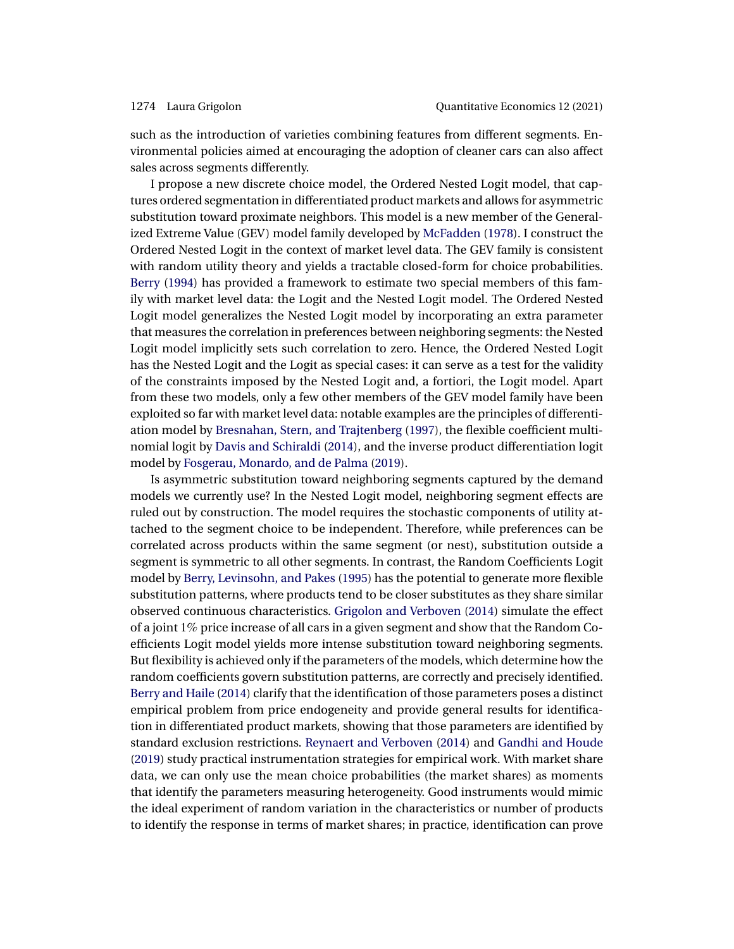<span id="page-1-0"></span>such as the introduction of varieties combining features from different segments. Environmental policies aimed at encouraging the adoption of cleaner cars can also affect sales across segments differently.

I propose a new discrete choice model, the Ordered Nested Logit model, that captures ordered segmentation in differentiated product markets and allows for asymmetric substitution toward proximate neighbors. This model is a new member of the Generalized Extreme Value (GEV) model family developed by [McFadden](#page-32-0) [\(1978\)](#page-32-0). I construct the Ordered Nested Logit in the context of market level data. The GEV family is consistent with random utility theory and yields a tractable closed-form for choice probabilities. [Berry](#page-30-0) [\(1994\)](#page-30-0) has provided a framework to estimate two special members of this family with market level data: the Logit and the Nested Logit model. The Ordered Nested Logit model generalizes the Nested Logit model by incorporating an extra parameter that measures the correlation in preferences between neighboring segments: the Nested Logit model implicitly sets such correlation to zero. Hence, the Ordered Nested Logit has the Nested Logit and the Logit as special cases: it can serve as a test for the validity of the constraints imposed by the Nested Logit and, a fortiori, the Logit model. Apart from these two models, only a few other members of the GEV model family have been exploited so far with market level data: notable examples are the principles of differentiation model by [Bresnahan, Stern, and Trajtenberg](#page-30-0) [\(1997\)](#page-30-0), the flexible coefficient multinomial logit by [Davis and Schiraldi](#page-31-0) [\(2014\)](#page-31-0), and the inverse product differentiation logit model by [Fosgerau, Monardo, and de Palma](#page-31-0) [\(2019\)](#page-31-0).

Is asymmetric substitution toward neighboring segments captured by the demand models we currently use? In the Nested Logit model, neighboring segment effects are ruled out by construction. The model requires the stochastic components of utility attached to the segment choice to be independent. Therefore, while preferences can be correlated across products within the same segment (or nest), substitution outside a segment is symmetric to all other segments. In contrast, the Random Coefficients Logit model by [Berry, Levinsohn, and Pakes](#page-30-0) [\(1995\)](#page-30-0) has the potential to generate more flexible substitution patterns, where products tend to be closer substitutes as they share similar observed continuous characteristics. [Grigolon and Verboven](#page-31-0) [\(2014\)](#page-31-0) simulate the effect of a joint 1% price increase of all cars in a given segment and show that the Random Coefficients Logit model yields more intense substitution toward neighboring segments. But flexibility is achieved only if the parameters of the models, which determine how the random coefficients govern substitution patterns, are correctly and precisely identified. [Berry and Haile](#page-30-0) [\(2014\)](#page-30-0) clarify that the identification of those parameters poses a distinct empirical problem from price endogeneity and provide general results for identification in differentiated product markets, showing that those parameters are identified by standard exclusion restrictions. [Reynaert and Verboven](#page-32-0) [\(2014\)](#page-32-0) and [Gandhi and Houde](#page-31-0) [\(2019\)](#page-31-0) study practical instrumentation strategies for empirical work. With market share data, we can only use the mean choice probabilities (the market shares) as moments that identify the parameters measuring heterogeneity. Good instruments would mimic the ideal experiment of random variation in the characteristics or number of products to identify the response in terms of market shares; in practice, identification can prove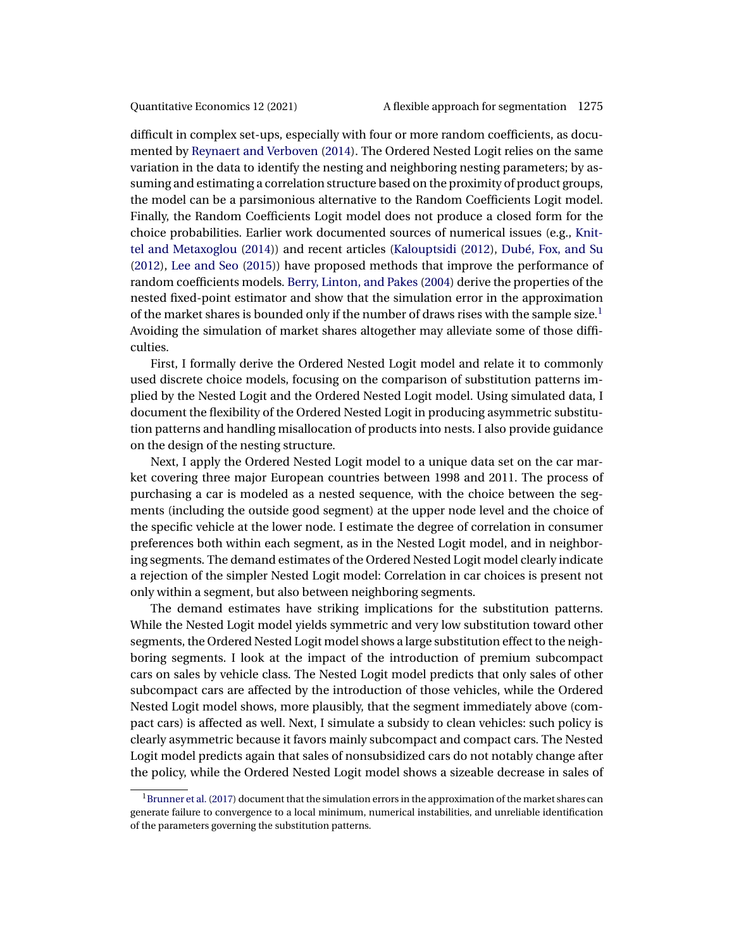<span id="page-2-0"></span>difficult in complex set-ups, especially with four or more random coefficients, as documented by [Reynaert and Verboven](#page-32-0) [\(2014\)](#page-32-0). The Ordered Nested Logit relies on the same variation in the data to identify the nesting and neighboring nesting parameters; by assuming and estimating a correlation structure based on the proximity of product groups, the model can be a parsimonious alternative to the Random Coefficients Logit model. Finally, the Random Coefficients Logit model does not produce a closed form for the choice probabilities. Earlier work documented sources of numerical issues (e.g., [Knit](#page-31-0)[tel and Metaxoglou](#page-31-0) [\(2014\)](#page-31-0)) and recent articles [\(Kalouptsidi](#page-31-0) [\(2012\)](#page-31-0), [Dubé, Fox, and Su](#page-31-0) [\(2012\)](#page-31-0), [Lee and Seo](#page-31-0) [\(2015\)](#page-31-0)) have proposed methods that improve the performance of random coefficients models. [Berry, Linton, and Pakes](#page-30-0) [\(2004\)](#page-30-0) derive the properties of the nested fixed-point estimator and show that the simulation error in the approximation of the market shares is bounded only if the number of draws rises with the sample size.<sup>1</sup> Avoiding the simulation of market shares altogether may alleviate some of those difficulties.

First, I formally derive the Ordered Nested Logit model and relate it to commonly used discrete choice models, focusing on the comparison of substitution patterns implied by the Nested Logit and the Ordered Nested Logit model. Using simulated data, I document the flexibility of the Ordered Nested Logit in producing asymmetric substitution patterns and handling misallocation of products into nests. I also provide guidance on the design of the nesting structure.

Next, I apply the Ordered Nested Logit model to a unique data set on the car market covering three major European countries between 1998 and 2011. The process of purchasing a car is modeled as a nested sequence, with the choice between the segments (including the outside good segment) at the upper node level and the choice of the specific vehicle at the lower node. I estimate the degree of correlation in consumer preferences both within each segment, as in the Nested Logit model, and in neighboring segments. The demand estimates of the Ordered Nested Logit model clearly indicate a rejection of the simpler Nested Logit model: Correlation in car choices is present not only within a segment, but also between neighboring segments.

The demand estimates have striking implications for the substitution patterns. While the Nested Logit model yields symmetric and very low substitution toward other segments, the Ordered Nested Logit model shows a large substitution effect to the neighboring segments. I look at the impact of the introduction of premium subcompact cars on sales by vehicle class. The Nested Logit model predicts that only sales of other subcompact cars are affected by the introduction of those vehicles, while the Ordered Nested Logit model shows, more plausibly, that the segment immediately above (compact cars) is affected as well. Next, I simulate a subsidy to clean vehicles: such policy is clearly asymmetric because it favors mainly subcompact and compact cars. The Nested Logit model predicts again that sales of nonsubsidized cars do not notably change after the policy, while the Ordered Nested Logit model shows a sizeable decrease in sales of

 $1B$ runner et al. [\(2017\)](#page-30-0) document that the simulation errors in the approximation of the market shares can generate failure to convergence to a local minimum, numerical instabilities, and unreliable identification of the parameters governing the substitution patterns.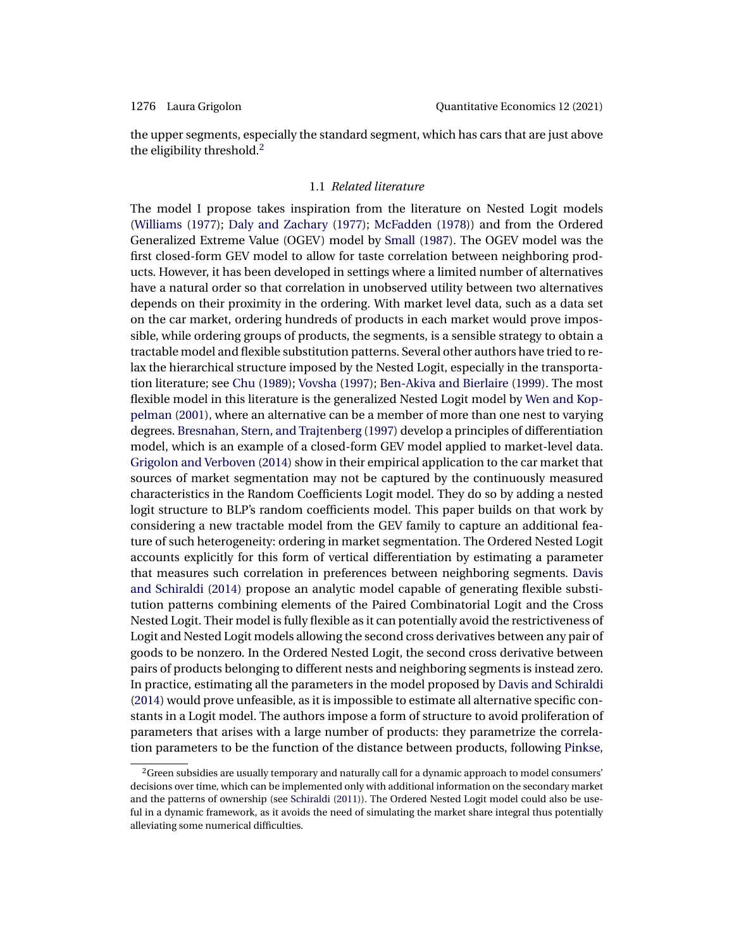<span id="page-3-0"></span>

the upper segments, especially the standard segment, which has cars that are just above the eligibility threshold.<sup>2</sup>

### 1.1 *Related literature*

The model I propose takes inspiration from the literature on Nested Logit models [\(Williams](#page-32-0) [\(1977\)](#page-32-0); [Daly and Zachary](#page-30-0) [\(1977\)](#page-30-0); [McFadden](#page-32-0) [\(1978\)](#page-32-0)) and from the Ordered Generalized Extreme Value (OGEV) model by [Small](#page-32-0) [\(1987\)](#page-32-0). The OGEV model was the first closed-form GEV model to allow for taste correlation between neighboring products. However, it has been developed in settings where a limited number of alternatives have a natural order so that correlation in unobserved utility between two alternatives depends on their proximity in the ordering. With market level data, such as a data set on the car market, ordering hundreds of products in each market would prove impossible, while ordering groups of products, the segments, is a sensible strategy to obtain a tractable model and flexible substitution patterns. Several other authors have tried to relax the hierarchical structure imposed by the Nested Logit, especially in the transportation literature; see [Chu](#page-30-0) [\(1989\)](#page-30-0); [Vovsha](#page-32-0) [\(1997\)](#page-32-0); [Ben-Akiva and Bierlaire](#page-30-0) [\(1999\)](#page-30-0). The most flexible model in this literature is the generalized Nested Logit model by [Wen and Kop](#page-32-0)[pelman](#page-32-0) [\(2001\)](#page-32-0), where an alternative can be a member of more than one nest to varying degrees. [Bresnahan, Stern, and Trajtenberg](#page-30-0) [\(1997\)](#page-30-0) develop a principles of differentiation model, which is an example of a closed-form GEV model applied to market-level data. [Grigolon and Verboven](#page-31-0) [\(2014\)](#page-31-0) show in their empirical application to the car market that sources of market segmentation may not be captured by the continuously measured characteristics in the Random Coefficients Logit model. They do so by adding a nested logit structure to BLP's random coefficients model. This paper builds on that work by considering a new tractable model from the GEV family to capture an additional feature of such heterogeneity: ordering in market segmentation. The Ordered Nested Logit accounts explicitly for this form of vertical differentiation by estimating a parameter that measures such correlation in preferences between neighboring segments. [Davis](#page-31-0) [and Schiraldi](#page-31-0) [\(2014\)](#page-31-0) propose an analytic model capable of generating flexible substitution patterns combining elements of the Paired Combinatorial Logit and the Cross Nested Logit. Their model is fully flexible as it can potentially avoid the restrictiveness of Logit and Nested Logit models allowing the second cross derivatives between any pair of goods to be nonzero. In the Ordered Nested Logit, the second cross derivative between pairs of products belonging to different nests and neighboring segments is instead zero. In practice, estimating all the parameters in the model proposed by [Davis and Schiraldi](#page-31-0) [\(2014\)](#page-31-0) would prove unfeasible, as it is impossible to estimate all alternative specific constants in a Logit model. The authors impose a form of structure to avoid proliferation of parameters that arises with a large number of products: they parametrize the correlation parameters to be the function of the distance between products, following [Pinkse,](#page-32-0)

 $2$ Green subsidies are usually temporary and naturally call for a dynamic approach to model consumers' decisions over time, which can be implemented only with additional information on the secondary market and the patterns of ownership (see [Schiraldi](#page-32-0) [\(2011\)](#page-32-0)). The Ordered Nested Logit model could also be useful in a dynamic framework, as it avoids the need of simulating the market share integral thus potentially alleviating some numerical difficulties.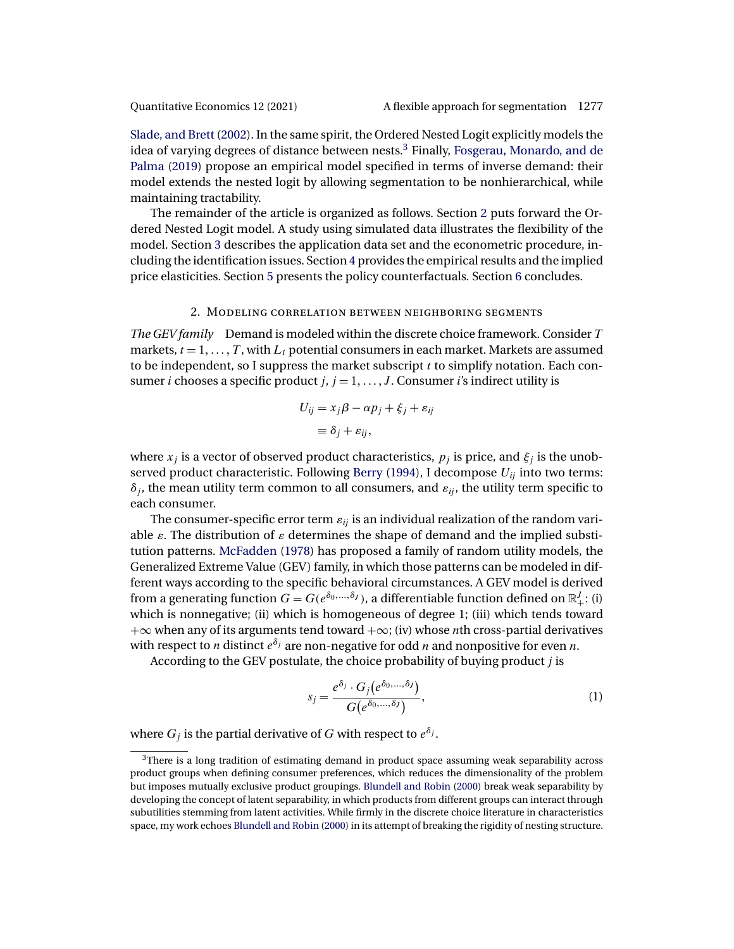<span id="page-4-0"></span>[Slade, and Brett](#page-32-0) [\(2002\)](#page-32-0). In the same spirit, the Ordered Nested Logit explicitly models the idea of varying degrees of distance between nests.3 Finally, [Fosgerau, Monardo, and de](#page-31-0) [Palma](#page-31-0) [\(2019\)](#page-31-0) propose an empirical model specified in terms of inverse demand: their model extends the nested logit by allowing segmentation to be nonhierarchical, while maintaining tractability.

The remainder of the article is organized as follows. Section 2 puts forward the Ordered Nested Logit model. A study using simulated data illustrates the flexibility of the model. Section [3](#page-11-0) describes the application data set and the econometric procedure, including the identification issues. Section [4](#page-18-0) provides the empirical results and the implied price elasticities. Section [5](#page-22-0) presents the policy counterfactuals. Section [6](#page-24-0) concludes.

### 2. Modeling correlation between neighboring segments

*The GEV family* Demand is modeled within the discrete choice framework. Consider T markets,  $t = 1, \ldots, T$ , with  $L_t$  potential consumers in each market. Markets are assumed to be independent, so I suppress the market subscript  $t$  to simplify notation. Each consumer *i* chooses a specific product  $j, j = 1, \ldots, J$ . Consumer *i*'s indirect utility is

$$
U_{ij} = x_j \beta - \alpha p_j + \xi_j + \varepsilon_{ij}
$$

$$
\equiv \delta_j + \varepsilon_{ij},
$$

where  $x_j$  is a vector of observed product characteristics,  $p_j$  is price, and  $\xi_j$  is the unob-served product characteristic. Following [Berry](#page-30-0) [\(1994\)](#page-30-0), I decompose  $U_{ij}$  into two terms:  $\delta_i$ , the mean utility term common to all consumers, and  $\varepsilon_{ii}$ , the utility term specific to each consumer.

The consumer-specific error term  $\varepsilon_{ij}$  is an individual realization of the random variable  $\varepsilon$ . The distribution of  $\varepsilon$  determines the shape of demand and the implied substitution patterns. [McFadden](#page-32-0) [\(1978\)](#page-32-0) has proposed a family of random utility models, the Generalized Extreme Value (GEV) family, in which those patterns can be modeled in different ways according to the specific behavioral circumstances. A GEV model is derived from a generating function  $G=G(e^{\delta_0,...,\delta_J}),$  a differentiable function defined on  $\mathbb{R}_+^J$ : (i) which is nonnegative; (ii) which is homogeneous of degree 1; (iii) which tends toward  $+\infty$  when any of its arguments tend toward  $+\infty$ ; (iv) whose nth cross-partial derivatives with respect to *n* distinct  $e^{\delta_j}$  are non-negative for odd *n* and nonpositive for even *n*.

According to the GEV postulate, the choice probability of buying product  $j$  is

$$
s_j = \frac{e^{\delta_j} \cdot G_j(e^{\delta_0, \dots, \delta_j})}{G(e^{\delta_0, \dots, \delta_j})},
$$
\n(1)

where  $G_j$  is the partial derivative of G with respect to  $e^{\delta_j}$ .

 $3$ There is a long tradition of estimating demand in product space assuming weak separability across product groups when defining consumer preferences, which reduces the dimensionality of the problem but imposes mutually exclusive product groupings. [Blundell and Robin](#page-30-0) [\(2000\)](#page-30-0) break weak separability by developing the concept of latent separability, in which products from different groups can interact through subutilities stemming from latent activities. While firmly in the discrete choice literature in characteristics space, my work echoes [Blundell and Robin](#page-30-0) [\(2000\)](#page-30-0) in its attempt of breaking the rigidity of nesting structure.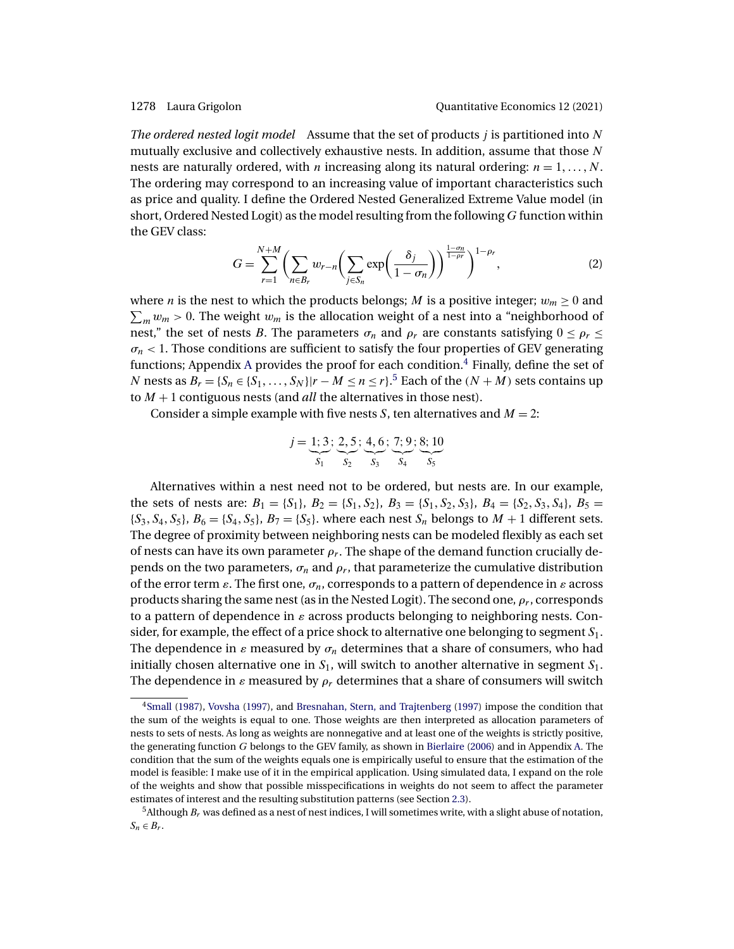<span id="page-5-0"></span>*The ordered nested logit model* Assume that the set of products *i* is partitioned into N mutually exclusive and collectively exhaustive nests. In addition, assume that those  $N$ nests are naturally ordered, with *n* increasing along its natural ordering:  $n = 1, ..., N$ . The ordering may correspond to an increasing value of important characteristics such as price and quality. I define the Ordered Nested Generalized Extreme Value model (in short, Ordered Nested Logit) as the model resulting from the following  $G$  function within the GEV class:

$$
G = \sum_{r=1}^{N+M} \left( \sum_{n \in B_r} w_{r-n} \left( \sum_{j \in S_n} \exp\left(\frac{\delta_j}{1-\sigma_n}\right) \right)^{\frac{1-\sigma_n}{1-\rho_r}} \right)^{1-\rho_r},\tag{2}
$$

where *n* is the nest to which the products belongs; *M* is a positive integer;  $w_m \ge 0$  and  $\sum_m w_m > 0$ . The weight  $w_m$  is the allocation weight of a nest into a "neighborhood of nest," the set of nests B. The parameters  $\sigma_n$  and  $\rho_r$  are constants satisfying  $0 \leq \rho_r \leq$  $\sigma_n$  < 1. Those conditions are sufficient to satisfy the four properties of GEV generating functions; Appendix [A](#page-24-0) provides the proof for each condition.<sup>4</sup> Finally, define the set of N nests as  $B_r = \{S_n \in \{S_1, \ldots, S_N\} | r - M \leq n \leq r\}$ .<sup>5</sup> Each of the  $(N + M)$  sets contains up to M + 1 contiguous nests (and *all* the alternatives in those nest).

Consider a simple example with five nests *S*, ten alternatives and  $M = 2$ :

$$
j = \underbrace{1; 3}_{S_1}; \underbrace{2, 5}_{S_2}; \underbrace{4, 6}_{S_3}; \underbrace{7; 9}_{S_4}; \underbrace{8; 10}_{S_5}
$$

Alternatives within a nest need not to be ordered, but nests are. In our example, the sets of nests are:  $B_1 = \{S_1\}, B_2 = \{S_1, S_2\}, B_3 = \{S_1, S_2, S_3\}, B_4 = \{S_2, S_3, S_4\}, B_5 =$  $\{S_3, S_4, S_5\}, B_6 = \{S_4, S_5\}, B_7 = \{S_5\}.$  where each nest  $S_n$  belongs to  $M + 1$  different sets. The degree of proximity between neighboring nests can be modeled flexibly as each set of nests can have its own parameter  $\rho_r$ . The shape of the demand function crucially depends on the two parameters,  $\sigma_n$  and  $\rho_r$ , that parameterize the cumulative distribution of the error term  $\varepsilon$ . The first one,  $\sigma_n$ , corresponds to a pattern of dependence in  $\varepsilon$  across products sharing the same nest (as in the Nested Logit). The second one,  $\rho_r$ , corresponds to a pattern of dependence in  $\varepsilon$  across products belonging to neighboring nests. Consider, for example, the effect of a price shock to alternative one belonging to segment  $S_1$ . The dependence in  $\varepsilon$  measured by  $\sigma_n$  determines that a share of consumers, who had initially chosen alternative one in  $S_1$ , will switch to another alternative in segment  $S_1$ . The dependence in  $\varepsilon$  measured by  $\rho_r$  determines that a share of consumers will switch

[<sup>4</sup>Small](#page-32-0) [\(1987\)](#page-32-0), [Vovsha](#page-32-0) [\(1997\)](#page-32-0), and [Bresnahan, Stern, and Trajtenberg](#page-30-0) [\(1997\)](#page-30-0) impose the condition that the sum of the weights is equal to one. Those weights are then interpreted as allocation parameters of nests to sets of nests. As long as weights are nonnegative and at least one of the weights is strictly positive, the generating function G belongs to the GEV family, as shown in [Bierlaire](#page-30-0) [\(2006\)](#page-30-0) and in Appendix [A.](#page-24-0) The condition that the sum of the weights equals one is empirically useful to ensure that the estimation of the model is feasible: I make use of it in the empirical application. Using simulated data, I expand on the role of the weights and show that possible misspecifications in weights do not seem to affect the parameter estimates of interest and the resulting substitution patterns (see Section [2.3\)](#page-10-0).

<sup>&</sup>lt;sup>5</sup>Although  $B_r$  was defined as a nest of nest indices, I will sometimes write, with a slight abuse of notation,  $S_n \in B_r$ .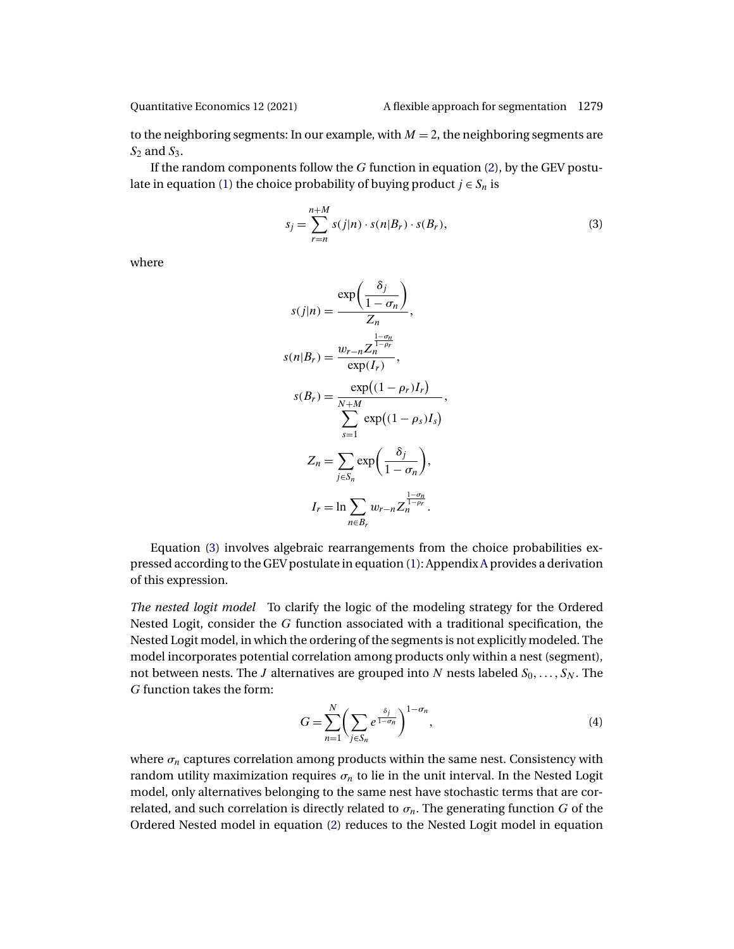<span id="page-6-0"></span>

to the neighboring segments: In our example, with  $M = 2$ , the neighboring segments are  $S_2$  and  $S_3$ .

If the random components follow the  $G$  function in equation [\(2\)](#page-5-0), by the GEV postu-late in equation [\(1\)](#page-4-0) the choice probability of buying product  $j \in S_n$  is

$$
s_j = \sum_{r=n}^{n+M} s(j|n) \cdot s(n|B_r) \cdot s(B_r), \qquad (3)
$$

where

$$
s(j|n) = \frac{\exp\left(\frac{\delta_j}{1-\sigma_n}\right)}{Z_n},
$$
  
\n
$$
s(n|B_r) = \frac{w_{r-n}Z_n^{\frac{1-\sigma_n}{1-\rho_r}}}{\exp(I_r)},
$$
  
\n
$$
s(B_r) = \frac{\exp((1-\rho_r)I_r)}{\sum_{s=1}^{N+M}\exp((1-\rho_s)I_s)},
$$
  
\n
$$
Z_n = \sum_{j\in S_n} \exp\left(\frac{\delta_j}{1-\sigma_n}\right),
$$
  
\n
$$
I_r = \ln \sum_{n\in B_r} w_{r-n}Z_n^{\frac{1-\sigma_n}{1-\rho_r}}.
$$

Equation (3) involves algebraic rearrangements from the choice probabilities expressed according to the GEV postulate in equation [\(1\)](#page-4-0): Appendix [A](#page-24-0) provides a derivation of this expression.

*The nested logit model* To clarify the logic of the modeling strategy for the Ordered Nested Logit, consider the G function associated with a traditional specification, the Nested Logit model, in which the ordering of the segments is not explicitly modeled. The model incorporates potential correlation among products only within a nest (segment), not between nests. The  $J$  alternatives are grouped into  $N$  nests labeled  $S_0,\ldots,S_N.$  The G function takes the form:

$$
G = \sum_{n=1}^{N} \left( \sum_{j \in S_n} e^{\frac{\delta_j}{1 - \sigma_n}} \right)^{1 - \sigma_n},\tag{4}
$$

where  $\sigma_n$  captures correlation among products within the same nest. Consistency with random utility maximization requires  $\sigma_n$  to lie in the unit interval. In the Nested Logit model, only alternatives belonging to the same nest have stochastic terms that are correlated, and such correlation is directly related to  $\sigma_n$ . The generating function G of the Ordered Nested model in equation [\(2\)](#page-5-0) reduces to the Nested Logit model in equation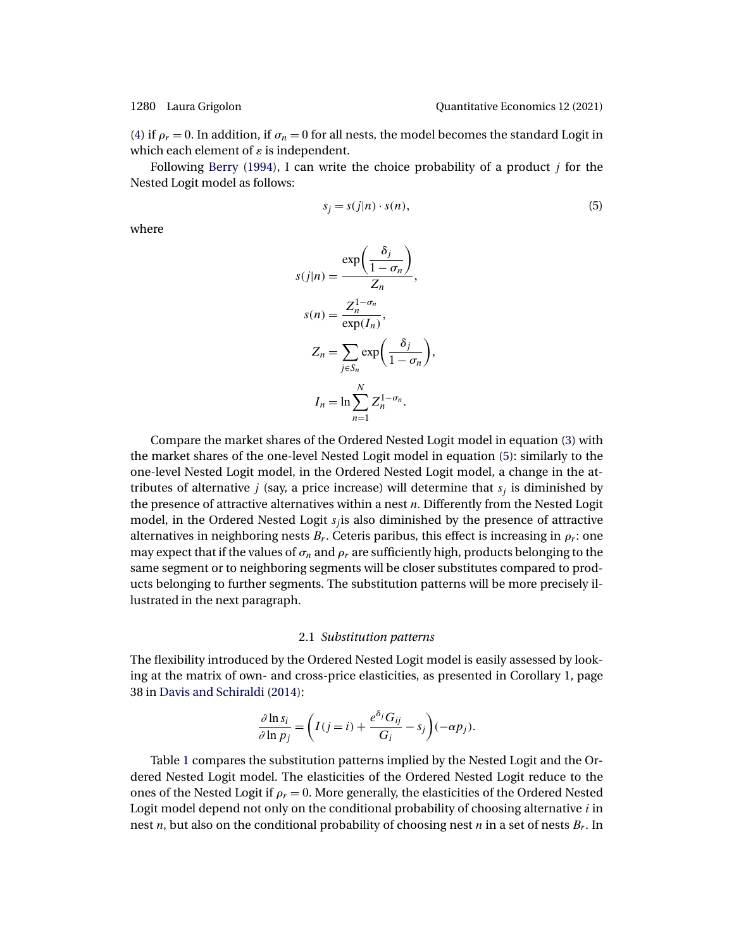<span id="page-7-0"></span>[\(4\)](#page-6-0) if  $\rho_r = 0$ . In addition, if  $\sigma_n = 0$  for all nests, the model becomes the standard Logit in which each element of  $\varepsilon$  is independent.

Following [Berry](#page-30-0) [\(1994\)](#page-30-0), I can write the choice probability of a product  *for the* Nested Logit model as follows:

$$
s_j = s(j|n) \cdot s(n),\tag{5}
$$

where

$$
s(j|n) = \frac{\exp\left(\frac{\delta_j}{1-\sigma_n}\right)}{Z_n},
$$

$$
s(n) = \frac{Z_n^{1-\sigma_n}}{\exp(I_n)},
$$

$$
Z_n = \sum_{j \in S_n} \exp\left(\frac{\delta_j}{1-\sigma_n}\right),
$$

$$
I_n = \ln \sum_{n=1}^N Z_n^{1-\sigma_n}.
$$

Compare the market shares of the Ordered Nested Logit model in equation [\(3\)](#page-6-0) with the market shares of the one-level Nested Logit model in equation (5): similarly to the one-level Nested Logit model, in the Ordered Nested Logit model, a change in the attributes of alternative *j* (say, a price increase) will determine that  $s_i$  is diminished by the presence of attractive alternatives within a nest  $n$ . Differently from the Nested Logit model, in the Ordered Nested Logit  $s_i$  is also diminished by the presence of attractive alternatives in neighboring nests  $B_r$ . Ceteris paribus, this effect is increasing in  $\rho_r$ : one may expect that if the values of  $\sigma_n$  and  $\rho_r$  are sufficiently high, products belonging to the same segment or to neighboring segments will be closer substitutes compared to products belonging to further segments. The substitution patterns will be more precisely illustrated in the next paragraph.

### 2.1 *Substitution patterns*

The flexibility introduced by the Ordered Nested Logit model is easily assessed by looking at the matrix of own- and cross-price elasticities, as presented in Corollary 1, page 38 in [Davis and Schiraldi](#page-31-0) [\(2014\)](#page-31-0):

$$
\frac{\partial \ln s_i}{\partial \ln p_j} = \left( I(j=i) + \frac{e^{\delta_j} G_{ij}}{G_i} - s_j \right) (-\alpha p_j).
$$

Table [1](#page-8-0) compares the substitution patterns implied by the Nested Logit and the Ordered Nested Logit model. The elasticities of the Ordered Nested Logit reduce to the ones of the Nested Logit if  $\rho_r = 0$ . More generally, the elasticities of the Ordered Nested Logit model depend not only on the conditional probability of choosing alternative  $i$  in nest *n*, but also on the conditional probability of choosing nest *n* in a set of nests  $B_r$ . In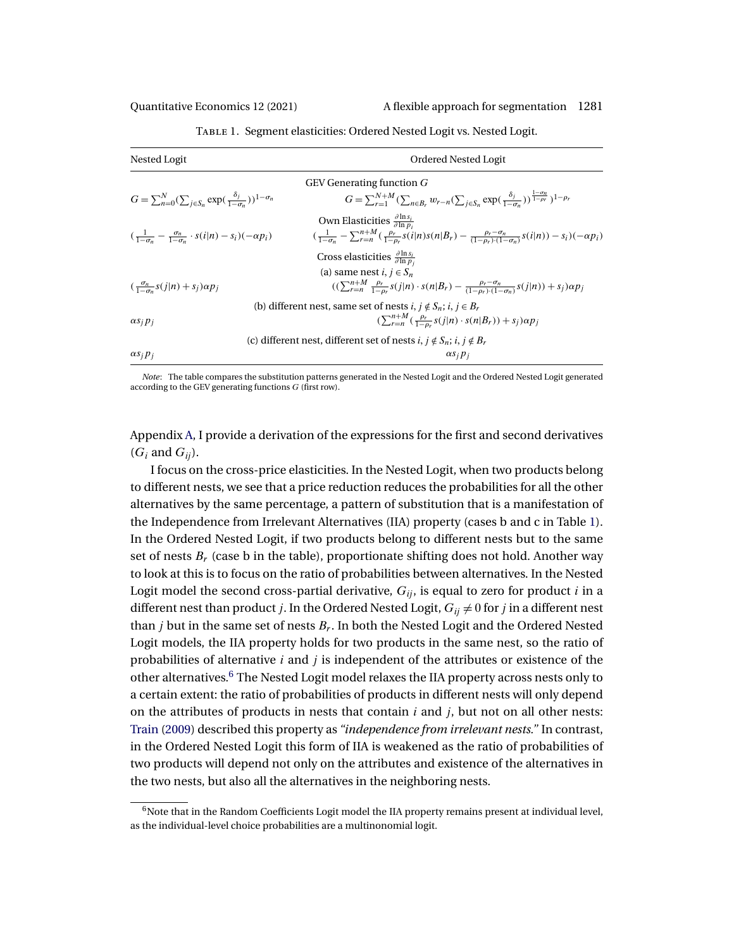<span id="page-8-0"></span>

| Nested Logit                                                                                 | Ordered Nested Logit                                                                                                                                                                                        |  |  |  |  |  |  |
|----------------------------------------------------------------------------------------------|-------------------------------------------------------------------------------------------------------------------------------------------------------------------------------------------------------------|--|--|--|--|--|--|
| <b>GEV</b> Generating function G                                                             |                                                                                                                                                                                                             |  |  |  |  |  |  |
| $G = \sum_{n=0}^{N} (\sum_{i \in S_n} \exp(\frac{\delta_i}{1 - \sigma_n}))^{1 - \sigma_n}$   | $G = \sum_{r=1}^{N+M} (\sum_{n \in B_r} w_{r-n} (\sum_{i \in S_n} \exp(\frac{\delta_i}{1-\sigma_n}))^{\frac{1-\sigma_n}{1-\rho_r}})^{1-\rho_r}$                                                             |  |  |  |  |  |  |
| $\left(\frac{1}{1-\sigma_n}-\frac{\sigma_n}{1-\sigma_n}\cdot s(i n)-s_i\right)(-\alpha p_i)$ | Own Elasticities $\frac{\partial \ln s_i}{\partial \ln n_i}$<br>$(\frac{1}{1-a_n}-\sum_{r=n}^{n+M}(\frac{\rho_r}{1-a_r}s(i n)s(n B_r)-\frac{\rho_r-\sigma_n}{(1-a_n)(1-\sigma_n)}s(i n))-s_i)(-\alpha p_i)$ |  |  |  |  |  |  |
|                                                                                              | Cross elasticities $\frac{\partial \ln s_i}{\partial \ln p_i}$                                                                                                                                              |  |  |  |  |  |  |
|                                                                                              | (a) same nest <i>i</i> , $i \in S_n$                                                                                                                                                                        |  |  |  |  |  |  |
| $\left(\frac{\sigma_n}{1-\sigma_n}s(j n)+s_j\right)\alpha p_j$                               | $((\sum_{r=n}^{n+M} \frac{\rho_r}{1-\rho_r} s(j n) \cdot s(n B_r) - \frac{\rho_r - \sigma_n}{(1-\rho_r) \cdot (1-\sigma_n)} s(j n)) + s_j) \alpha p_j$                                                      |  |  |  |  |  |  |
|                                                                                              | (b) different nest, same set of nests $i, j \notin S_n$ , $i, j \in B_r$                                                                                                                                    |  |  |  |  |  |  |
| $\alpha s_i p_i$                                                                             | $(\sum_{r=n}^{n+M}(\frac{\rho_r}{1-\rho_r}s(j n)\cdot s(n B_r))+s_j)\alpha p_j$                                                                                                                             |  |  |  |  |  |  |
|                                                                                              | (c) different nest, different set of nests $i, j \notin S_n$ ; $i, j \notin B_r$                                                                                                                            |  |  |  |  |  |  |
| $\alpha s_i p_i$                                                                             | $\alpha s_i p_i$                                                                                                                                                                                            |  |  |  |  |  |  |

Table 1. Segment elasticities: Ordered Nested Logit vs. Nested Logit.

*Note*: The table compares the substitution patterns generated in the Nested Logit and the Ordered Nested Logit generated according to the GEV generating functions G (first row).

Appendix [A,](#page-24-0) I provide a derivation of the expressions for the first and second derivatives  $(G_i \text{ and } G_{ii}).$ 

I focus on the cross-price elasticities. In the Nested Logit, when two products belong to different nests, we see that a price reduction reduces the probabilities for all the other alternatives by the same percentage, a pattern of substitution that is a manifestation of the Independence from Irrelevant Alternatives (IIA) property (cases b and c in Table 1). In the Ordered Nested Logit, if two products belong to different nests but to the same set of nests  $B_r$  (case b in the table), proportionate shifting does not hold. Another way to look at this is to focus on the ratio of probabilities between alternatives. In the Nested Logit model the second cross-partial derivative,  $G_{ij}$ , is equal to zero for product i in a different nest than product *j*. In the Ordered Nested Logit,  $G_{ij} \neq 0$  for *j* in a different nest than *j* but in the same set of nests  $B_r$ . In both the Nested Logit and the Ordered Nested Logit models, the IIA property holds for two products in the same nest, so the ratio of probabilities of alternative  $i$  and  $j$  is independent of the attributes or existence of the other alternatives.6 The Nested Logit model relaxes the IIA property across nests only to a certain extent: the ratio of probabilities of products in different nests will only depend on the attributes of products in nests that contain  $i$  and  $j$ , but not on all other nests: [Train](#page-32-0) [\(2009\)](#page-32-0) described this property as *"independence from irrelevant nests."* In contrast, in the Ordered Nested Logit this form of IIA is weakened as the ratio of probabilities of two products will depend not only on the attributes and existence of the alternatives in the two nests, but also all the alternatives in the neighboring nests.

 $6N$ ote that in the Random Coefficients Logit model the IIA property remains present at individual level, as the individual-level choice probabilities are a multinonomial logit.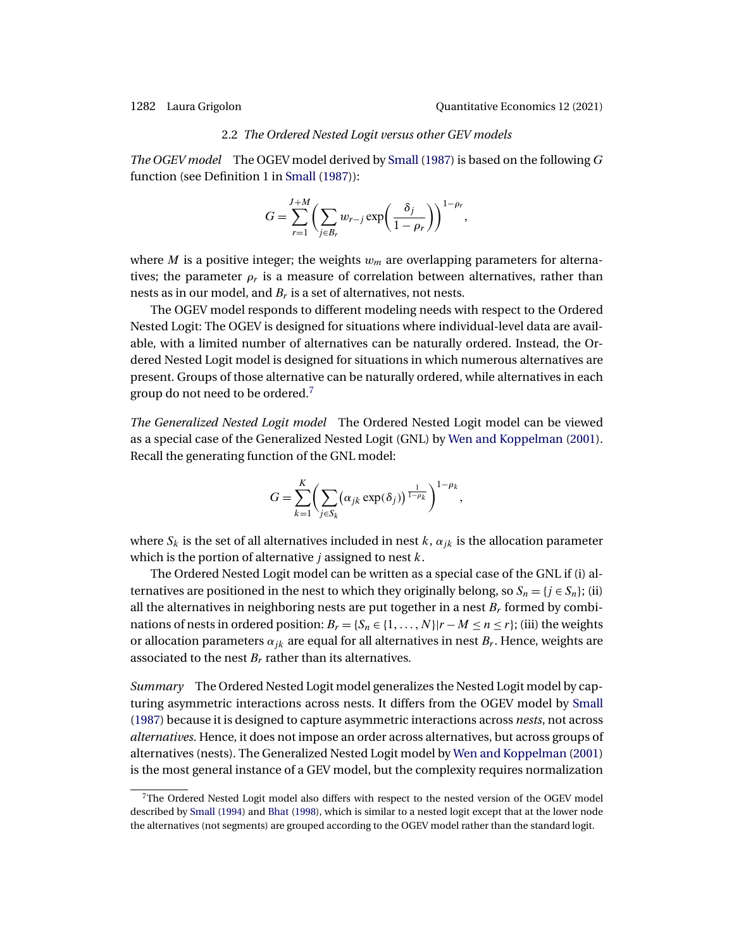### 2.2 *The Ordered Nested Logit versus other GEV models*

<span id="page-9-0"></span>*The OGEV model* The OGEV model derived by [Small](#page-32-0) [\(1987\)](#page-32-0) is based on the following G function (see Definition 1 in [Small](#page-32-0) [\(1987\)](#page-32-0)):

$$
G = \sum_{r=1}^{J+M} \left( \sum_{j \in B_r} w_{r-j} \exp\left(\frac{\delta_j}{1-\rho_r}\right) \right)^{1-\rho_r},
$$

where M is a positive integer; the weights  $w_m$  are overlapping parameters for alternatives; the parameter  $\rho_r$  is a measure of correlation between alternatives, rather than nests as in our model, and  $B_r$  is a set of alternatives, not nests.

The OGEV model responds to different modeling needs with respect to the Ordered Nested Logit: The OGEV is designed for situations where individual-level data are available, with a limited number of alternatives can be naturally ordered. Instead, the Ordered Nested Logit model is designed for situations in which numerous alternatives are present. Groups of those alternative can be naturally ordered, while alternatives in each group do not need to be ordered.<sup>7</sup>

*The Generalized Nested Logit model* The Ordered Nested Logit model can be viewed as a special case of the Generalized Nested Logit (GNL) by [Wen and Koppelman](#page-32-0) [\(2001\)](#page-32-0). Recall the generating function of the GNL model:

$$
G = \sum_{k=1}^K \biggl( \sum_{j \in S_k} (\alpha_{jk} \exp(\delta_j))^\frac{1}{1-\rho_k} \biggr)^{1-\rho_k},
$$

where  $S_k$  is the set of all alternatives included in nest k,  $\alpha_{ik}$  is the allocation parameter which is the portion of alternative *j* assigned to nest  $k$ .

The Ordered Nested Logit model can be written as a special case of the GNL if (i) alternatives are positioned in the nest to which they originally belong, so  $S_n = \{j \in S_n\}$ ; (ii) all the alternatives in neighboring nests are put together in a nest  $B_r$  formed by combinations of nests in ordered position:  $B_r = \{S_n \in \{1, ..., N\} | r - M \leq n \leq r\}$ ; (iii) the weights or allocation parameters  $\alpha_{ik}$  are equal for all alternatives in nest  $B_r$ . Hence, weights are associated to the nest  $B_r$  rather than its alternatives.

*Summary* The Ordered Nested Logit model generalizes the Nested Logit model by capturing asymmetric interactions across nests. It differs from the OGEV model by [Small](#page-32-0) [\(1987\)](#page-32-0) because it is designed to capture asymmetric interactions across *nests*, not across *alternatives*. Hence, it does not impose an order across alternatives, but across groups of alternatives (nests). The Generalized Nested Logit model by [Wen and Koppelman](#page-32-0) [\(2001\)](#page-32-0) is the most general instance of a GEV model, but the complexity requires normalization

<sup>7</sup>The Ordered Nested Logit model also differs with respect to the nested version of the OGEV model described by [Small](#page-32-0) [\(1994\)](#page-32-0) and [Bhat](#page-30-0) [\(1998\)](#page-30-0), which is similar to a nested logit except that at the lower node the alternatives (not segments) are grouped according to the OGEV model rather than the standard logit.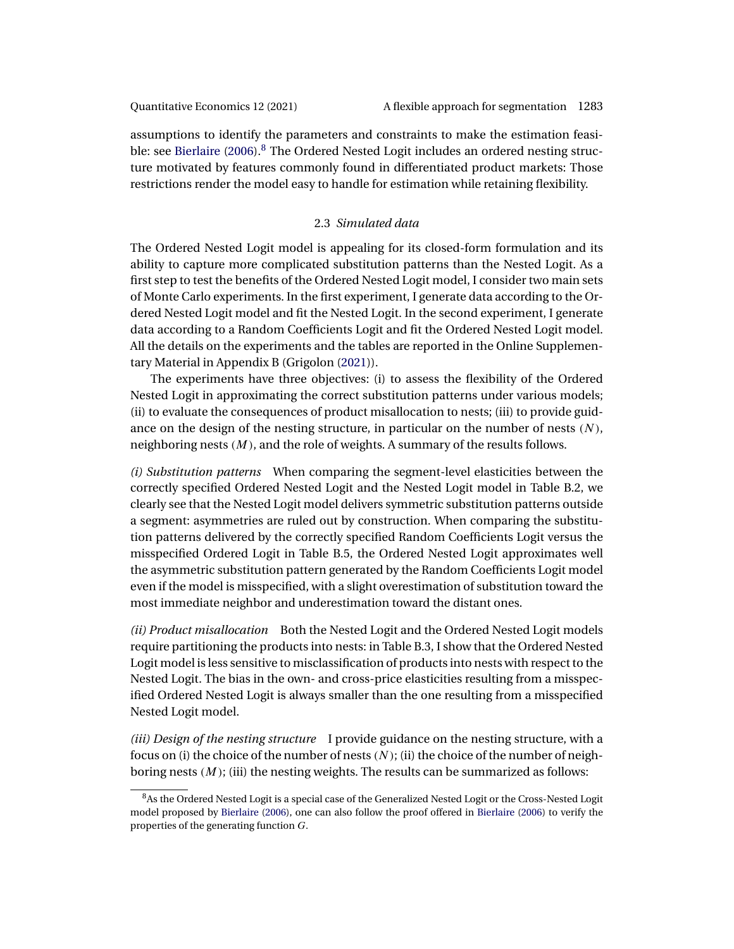<span id="page-10-0"></span>assumptions to identify the parameters and constraints to make the estimation feasi-ble: see [Bierlaire](#page-30-0)  $(2006)$ .<sup>8</sup> The Ordered Nested Logit includes an ordered nesting structure motivated by features commonly found in differentiated product markets: Those restrictions render the model easy to handle for estimation while retaining flexibility.

## 2.3 *Simulated data*

The Ordered Nested Logit model is appealing for its closed-form formulation and its ability to capture more complicated substitution patterns than the Nested Logit. As a first step to test the benefits of the Ordered Nested Logit model, I consider two main sets of Monte Carlo experiments. In the first experiment, I generate data according to the Ordered Nested Logit model and fit the Nested Logit. In the second experiment, I generate data according to a Random Coefficients Logit and fit the Ordered Nested Logit model. All the details on the experiments and the tables are reported in the Online Supplementary Material in Appendix B (Grigolon [\(2021\)](#page-31-0)).

The experiments have three objectives: (i) to assess the flexibility of the Ordered Nested Logit in approximating the correct substitution patterns under various models; (ii) to evaluate the consequences of product misallocation to nests; (iii) to provide guidance on the design of the nesting structure, in particular on the number of nests  $(N)$ , neighboring nests  $(M)$ , and the role of weights. A summary of the results follows.

*(i) Substitution patterns* When comparing the segment-level elasticities between the correctly specified Ordered Nested Logit and the Nested Logit model in Table B.2, we clearly see that the Nested Logit model delivers symmetric substitution patterns outside a segment: asymmetries are ruled out by construction. When comparing the substitution patterns delivered by the correctly specified Random Coefficients Logit versus the misspecified Ordered Logit in Table B.5, the Ordered Nested Logit approximates well the asymmetric substitution pattern generated by the Random Coefficients Logit model even if the model is misspecified, with a slight overestimation of substitution toward the most immediate neighbor and underestimation toward the distant ones.

*(ii) Product misallocation* Both the Nested Logit and the Ordered Nested Logit models require partitioning the products into nests: in Table B.3, I show that the Ordered Nested Logit model is less sensitive to misclassification of products into nests with respect to the Nested Logit. The bias in the own- and cross-price elasticities resulting from a misspecified Ordered Nested Logit is always smaller than the one resulting from a misspecified Nested Logit model.

*(iii) Design of the nesting structure* I provide guidance on the nesting structure, with a focus on (i) the choice of the number of nests  $(N)$ ; (ii) the choice of the number of neighboring nests  $(M)$ ; (iii) the nesting weights. The results can be summarized as follows:

<sup>&</sup>lt;sup>8</sup>As the Ordered Nested Logit is a special case of the Generalized Nested Logit or the Cross-Nested Logit model proposed by [Bierlaire](#page-30-0) [\(2006\)](#page-30-0), one can also follow the proof offered in [Bierlaire](#page-30-0) [\(2006\)](#page-30-0) to verify the properties of the generating function G.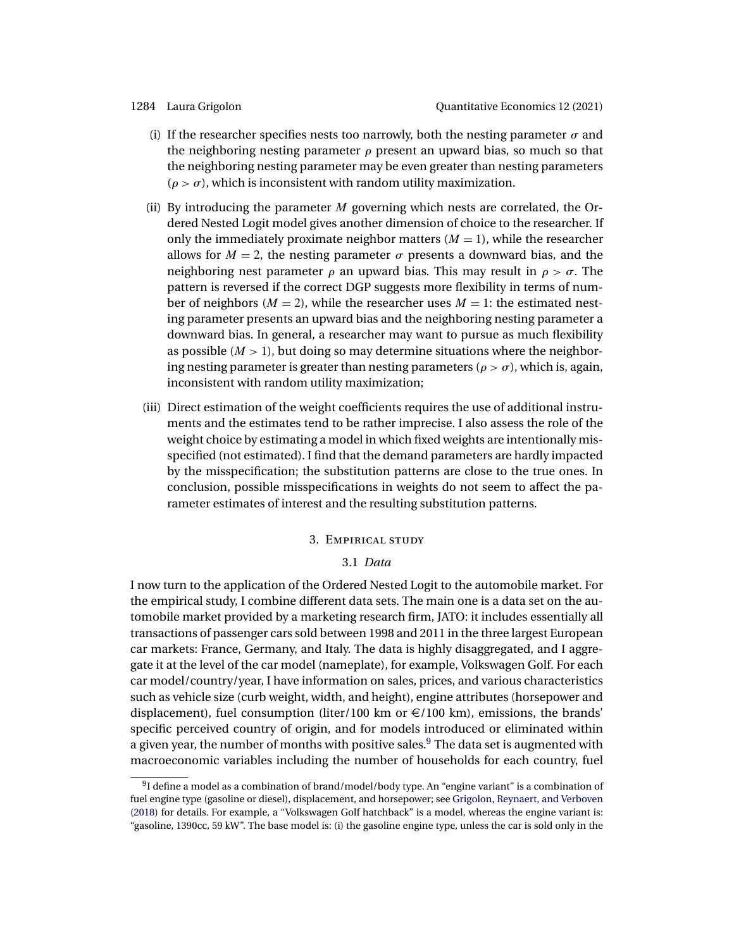- <span id="page-11-0"></span>(i) If the researcher specifies nests too narrowly, both the nesting parameter  $\sigma$  and the neighboring nesting parameter  $\rho$  present an upward bias, so much so that the neighboring nesting parameter may be even greater than nesting parameters  $(\rho > \sigma)$ , which is inconsistent with random utility maximization.
- (ii) By introducing the parameter  $M$  governing which nests are correlated, the Ordered Nested Logit model gives another dimension of choice to the researcher. If only the immediately proximate neighbor matters  $(M = 1)$ , while the researcher allows for  $M = 2$ , the nesting parameter  $\sigma$  presents a downward bias, and the neighboring nest parameter  $\rho$  an upward bias. This may result in  $\rho > \sigma$ . The pattern is reversed if the correct DGP suggests more flexibility in terms of number of neighbors ( $M = 2$ ), while the researcher uses  $M = 1$ : the estimated nesting parameter presents an upward bias and the neighboring nesting parameter a downward bias. In general, a researcher may want to pursue as much flexibility as possible  $(M > 1)$ , but doing so may determine situations where the neighboring nesting parameter is greater than nesting parameters ( $\rho > \sigma$ ), which is, again, inconsistent with random utility maximization;
- (iii) Direct estimation of the weight coefficients requires the use of additional instruments and the estimates tend to be rather imprecise. I also assess the role of the weight choice by estimating a model in which fixed weights are intentionally misspecified (not estimated). I find that the demand parameters are hardly impacted by the misspecification; the substitution patterns are close to the true ones. In conclusion, possible misspecifications in weights do not seem to affect the parameter estimates of interest and the resulting substitution patterns.

## 3. Empirical study

## 3.1 *Data*

I now turn to the application of the Ordered Nested Logit to the automobile market. For the empirical study, I combine different data sets. The main one is a data set on the automobile market provided by a marketing research firm, JATO: it includes essentially all transactions of passenger cars sold between 1998 and 2011 in the three largest European car markets: France, Germany, and Italy. The data is highly disaggregated, and I aggregate it at the level of the car model (nameplate), for example, Volkswagen Golf. For each car model/country/year, I have information on sales, prices, and various characteristics such as vehicle size (curb weight, width, and height), engine attributes (horsepower and displacement), fuel consumption (liter/100 km or  $\epsilon$ /100 km), emissions, the brands' specific perceived country of origin, and for models introduced or eliminated within a given year, the number of months with positive sales.<sup>9</sup> The data set is augmented with macroeconomic variables including the number of households for each country, fuel

 $91$  define a model as a combination of brand/model/body type. An "engine variant" is a combination of fuel engine type (gasoline or diesel), displacement, and horsepower; see [Grigolon, Reynaert, and Verboven](#page-31-0) [\(2018\)](#page-31-0) for details. For example, a "Volkswagen Golf hatchback" is a model, whereas the engine variant is: "gasoline, 1390cc, 59 kW". The base model is: (i) the gasoline engine type, unless the car is sold only in the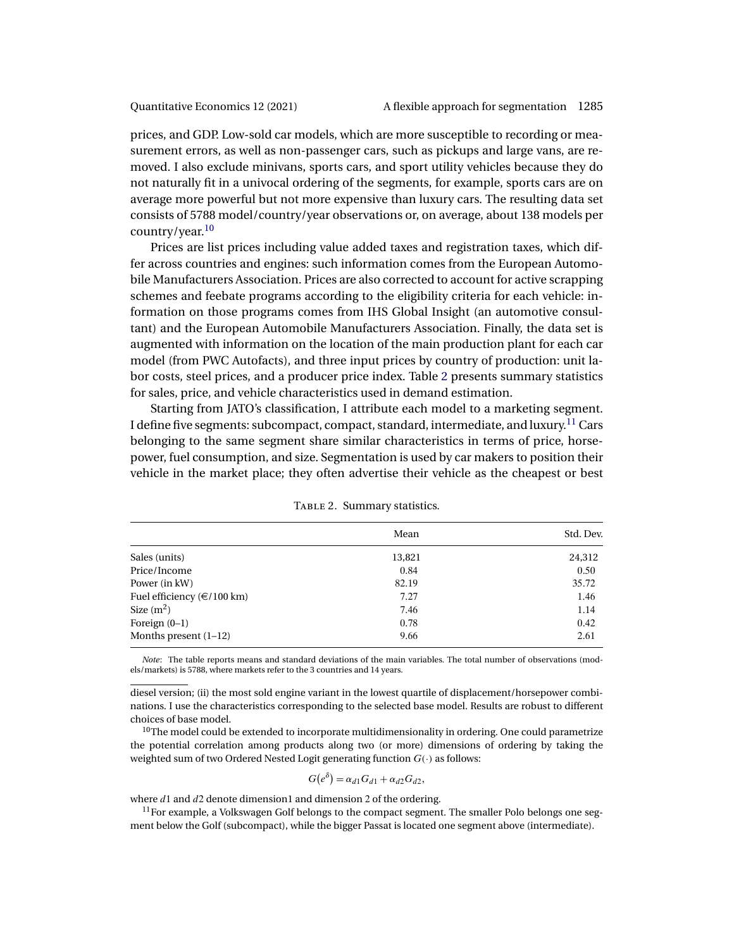prices, and GDP. Low-sold car models, which are more susceptible to recording or measurement errors, as well as non-passenger cars, such as pickups and large vans, are removed. I also exclude minivans, sports cars, and sport utility vehicles because they do not naturally fit in a univocal ordering of the segments, for example, sports cars are on average more powerful but not more expensive than luxury cars. The resulting data set consists of 5788 model/country/year observations or, on average, about 138 models per country/year.10

Prices are list prices including value added taxes and registration taxes, which differ across countries and engines: such information comes from the European Automobile Manufacturers Association. Prices are also corrected to account for active scrapping schemes and feebate programs according to the eligibility criteria for each vehicle: information on those programs comes from IHS Global Insight (an automotive consultant) and the European Automobile Manufacturers Association. Finally, the data set is augmented with information on the location of the main production plant for each car model (from PWC Autofacts), and three input prices by country of production: unit labor costs, steel prices, and a producer price index. Table 2 presents summary statistics for sales, price, and vehicle characteristics used in demand estimation.

Starting from JATO's classification, I attribute each model to a marketing segment. I define five segments: subcompact, compact, standard, intermediate, and luxury.<sup>11</sup> Cars belonging to the same segment share similar characteristics in terms of price, horsepower, fuel consumption, and size. Segmentation is used by car makers to position their vehicle in the market place; they often advertise their vehicle as the cheapest or best

|                                  | Mean   | Std. Dev. |
|----------------------------------|--------|-----------|
| Sales (units)                    | 13,821 | 24,312    |
| Price/Income                     | 0.84   | 0.50      |
| Power (in kW)                    | 82.19  | 35.72     |
| Fuel efficiency ( $\in$ /100 km) | 7.27   | 1.46      |
| Size $(m^2)$                     | 7.46   | 1.14      |
| Foreign $(0-1)$                  | 0.78   | 0.42      |
| Months present $(1-12)$          | 9.66   | 2.61      |

TABLE 2. Summary statistics.

*Note*: The table reports means and standard deviations of the main variables. The total number of observations (models/markets) is 5788, where markets refer to the 3 countries and 14 years.

diesel version; (ii) the most sold engine variant in the lowest quartile of displacement/horsepower combinations. I use the characteristics corresponding to the selected base model. Results are robust to different choices of base model.

 $^{10}$  The model could be extended to incorporate multidimensionality in ordering. One could parametrize the potential correlation among products along two (or more) dimensions of ordering by taking the weighted sum of two Ordered Nested Logit generating function  $G(\cdot)$  as follows:

$$
G(e^{\delta}) = \alpha_{d1} G_{d1} + \alpha_{d2} G_{d2},
$$

where  $d1$  and  $d2$  denote dimension1 and dimension 2 of the ordering.

 $11$  For example, a Volkswagen Golf belongs to the compact segment. The smaller Polo belongs one segment below the Golf (subcompact), while the bigger Passat is located one segment above (intermediate).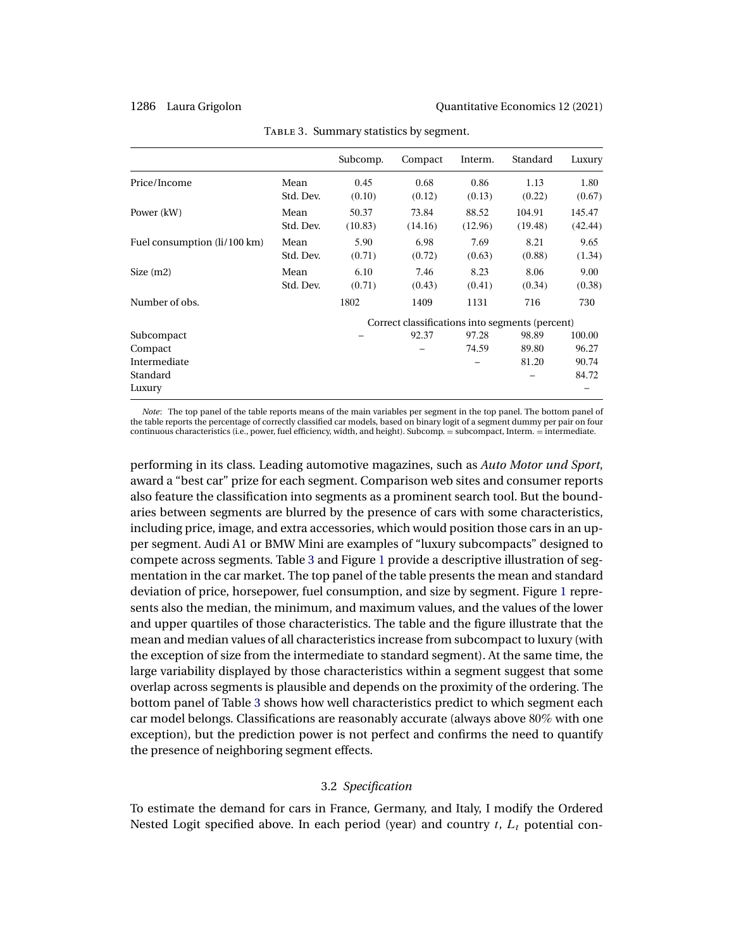|                              |                   | Subcomp.         | Compact                                         | Interm.          | Standard          | Luxury            |
|------------------------------|-------------------|------------------|-------------------------------------------------|------------------|-------------------|-------------------|
| Price/Income                 | Mean<br>Std. Dev. | 0.45<br>(0.10)   | 0.68<br>(0.12)                                  | 0.86<br>(0.13)   | 1.13<br>(0.22)    | 1.80<br>(0.67)    |
| Power (kW)                   | Mean<br>Std. Dev. | 50.37<br>(10.83) | 73.84<br>(14.16)                                | 88.52<br>(12.96) | 104.91<br>(19.48) | 145.47<br>(42.44) |
| Fuel consumption (li/100 km) | Mean<br>Std. Dev. | 5.90<br>(0.71)   | 6.98<br>(0.72)                                  | 7.69<br>(0.63)   | 8.21<br>(0.88)    | 9.65<br>(1.34)    |
| Size $(m2)$                  | Mean<br>Std. Dev. | 6.10<br>(0.71)   | 7.46<br>(0.43)                                  | 8.23<br>(0.41)   | 8.06<br>(0.34)    | 9.00<br>(0.38)    |
| Number of obs.               |                   | 1802             | 1409                                            | 1131             | 716               | 730               |
|                              |                   |                  | Correct classifications into segments (percent) |                  |                   |                   |
| Subcompact                   |                   |                  | 92.37                                           | 97.28            | 98.89             | 100.00            |
| Compact                      |                   |                  |                                                 | 74.59            | 89.80             | 96.27             |
| Intermediate                 |                   |                  |                                                 |                  | 81.20             | 90.74             |
| Standard                     |                   |                  |                                                 |                  |                   | 84.72             |
| Luxury                       |                   |                  |                                                 |                  |                   |                   |

TABLE 3. Summary statistics by segment.

*Note*: The top panel of the table reports means of the main variables per segment in the top panel. The bottom panel of the table reports the percentage of correctly classified car models, based on binary logit of a segment dummy per pair on four continuous characteristics (i.e., power, fuel efficiency, width, and height). Subcomp. = subcompact, Interm. = intermediate.

performing in its class. Leading automotive magazines, such as *Auto Motor und Sport*, award a "best car" prize for each segment. Comparison web sites and consumer reports also feature the classification into segments as a prominent search tool. But the boundaries between segments are blurred by the presence of cars with some characteristics, including price, image, and extra accessories, which would position those cars in an upper segment. Audi A1 or BMW Mini are examples of "luxury subcompacts" designed to compete across segments. Table 3 and Figure [1](#page-14-0) provide a descriptive illustration of segmentation in the car market. The top panel of the table presents the mean and standard deviation of price, horsepower, fuel consumption, and size by segment. Figure [1](#page-14-0) represents also the median, the minimum, and maximum values, and the values of the lower and upper quartiles of those characteristics. The table and the figure illustrate that the mean and median values of all characteristics increase from subcompact to luxury (with the exception of size from the intermediate to standard segment). At the same time, the large variability displayed by those characteristics within a segment suggest that some overlap across segments is plausible and depends on the proximity of the ordering. The bottom panel of Table 3 shows how well characteristics predict to which segment each car model belongs. Classifications are reasonably accurate (always above 80% with one exception), but the prediction power is not perfect and confirms the need to quantify the presence of neighboring segment effects.

## 3.2 *Specification*

To estimate the demand for cars in France, Germany, and Italy, I modify the Ordered Nested Logit specified above. In each period (year) and country  $t$ ,  $L_t$  potential con-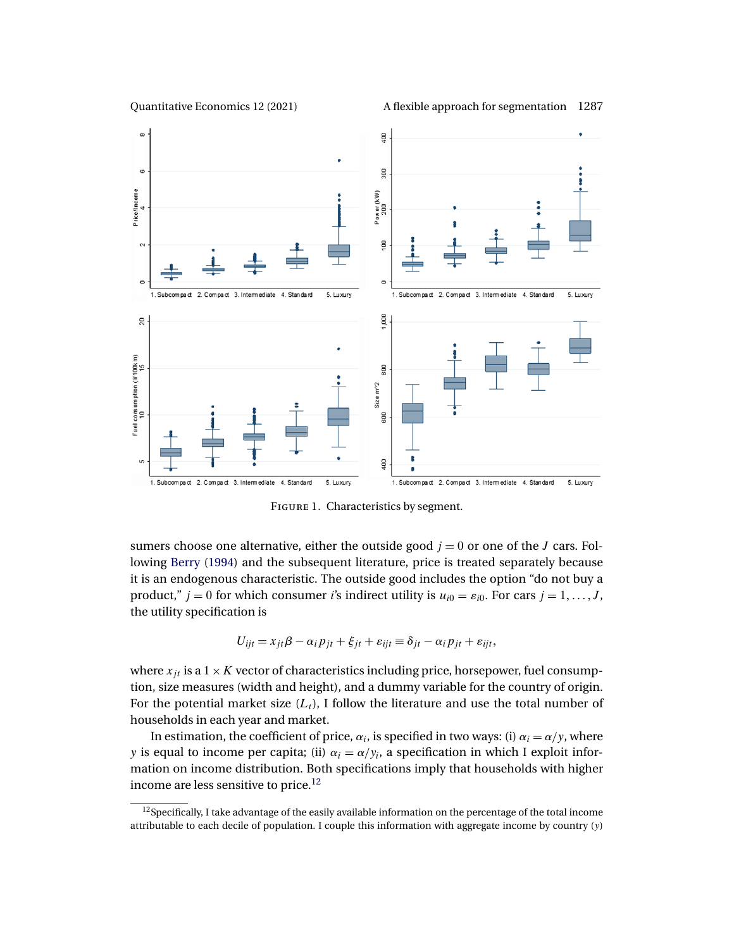<span id="page-14-0"></span>

Quantitative Economics 12 (2021) A flexible approach for segmentation 1287



FIGURE 1. Characteristics by segment.

sumers choose one alternative, either the outside good  $j = 0$  or one of the J cars. Following [Berry](#page-30-0) [\(1994\)](#page-30-0) and the subsequent literature, price is treated separately because it is an endogenous characteristic. The outside good includes the option "do not buy a product,"  $j = 0$  for which consumer *i*'s indirect utility is  $u_{i0} = \varepsilon_{i0}$ . For cars  $j = 1, ..., J$ , the utility specification is

$$
U_{ijt} = x_{jt}\beta - \alpha_i p_{jt} + \xi_{jt} + \varepsilon_{ijt} \equiv \delta_{jt} - \alpha_i p_{jt} + \varepsilon_{ijt},
$$

where  $x_{jt}$  is a  $1 \times K$  vector of characteristics including price, horsepower, fuel consumption, size measures (width and height), and a dummy variable for the country of origin. For the potential market size  $(L_t)$ , I follow the literature and use the total number of households in each year and market.

In estimation, the coefficient of price,  $\alpha_i$ , is specified in two ways: (i)  $\alpha_i = \alpha/y$ , where y is equal to income per capita; (ii)  $\alpha_i = \alpha/y_i$ , a specification in which I exploit information on income distribution. Both specifications imply that households with higher income are less sensitive to price.<sup>12</sup>

 $12$ Specifically, I take advantage of the easily available information on the percentage of the total income attributable to each decile of population. I couple this information with aggregate income by country  $(y)$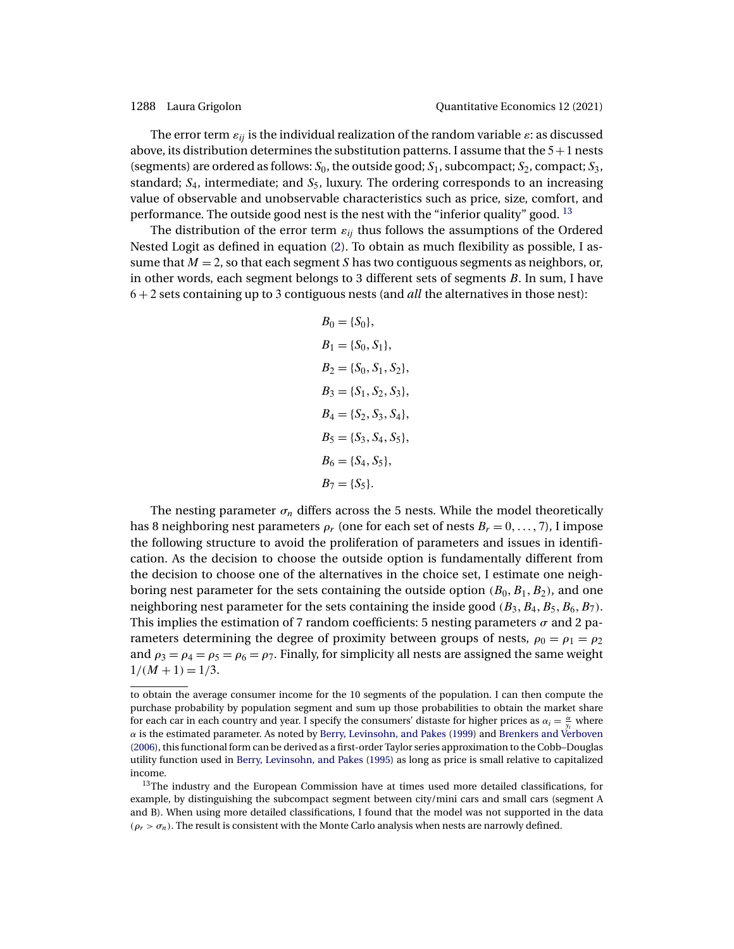<span id="page-15-0"></span>The error term  $\varepsilon_{ij}$  is the individual realization of the random variable  $\varepsilon$ : as discussed above, its distribution determines the substitution patterns. I assume that the  $5+1$  nests (segments) are ordered as follows:  $S_0$ , the outside good;  $S_1$ , subcompact;  $S_2$ , compact;  $S_3$ , standard;  $S_4$ , intermediate; and  $S_5$ , luxury. The ordering corresponds to an increasing value of observable and unobservable characteristics such as price, size, comfort, and performance. The outside good nest is the nest with the "inferior quality" good.  $^{13}$ 

The distribution of the error term  $\varepsilon_{ij}$  thus follows the assumptions of the Ordered Nested Logit as defined in equation [\(2\)](#page-5-0). To obtain as much flexibility as possible, I assume that  $M = 2$ , so that each segment S has two contiguous segments as neighbors, or, in other words, each segment belongs to 3 different sets of segments  $B$ . In sum, I have 6 + 2 sets containing up to 3 contiguous nests (and *all* the alternatives in those nest):

$$
B_0 = \{S_0\},
$$
  
\n
$$
B_1 = \{S_0, S_1\},
$$
  
\n
$$
B_2 = \{S_0, S_1, S_2\},
$$
  
\n
$$
B_3 = \{S_1, S_2, S_3\},
$$
  
\n
$$
B_4 = \{S_2, S_3, S_4\},
$$
  
\n
$$
B_5 = \{S_3, S_4, S_5\},
$$
  
\n
$$
B_6 = \{S_4, S_5\},
$$
  
\n
$$
B_7 = \{S_5\}.
$$

The nesting parameter  $\sigma_n$  differs across the 5 nests. While the model theoretically has 8 neighboring nest parameters  $\rho_r$  (one for each set of nests  $B_r = 0, \ldots, 7$ ), I impose the following structure to avoid the proliferation of parameters and issues in identification. As the decision to choose the outside option is fundamentally different from the decision to choose one of the alternatives in the choice set, I estimate one neighboring nest parameter for the sets containing the outside option  $(B_0, B_1, B_2)$ , and one neighboring nest parameter for the sets containing the inside good  $(B_3, B_4, B_5, B_6, B_7)$ . This implies the estimation of 7 random coefficients: 5 nesting parameters  $\sigma$  and 2 parameters determining the degree of proximity between groups of nests,  $\rho_0 = \rho_1 = \rho_2$ and  $\rho_3 = \rho_4 = \rho_5 = \rho_6 = \rho_7$ . Finally, for simplicity all nests are assigned the same weight  $1/(M + 1) = 1/3$ .

to obtain the average consumer income for the 10 segments of the population. I can then compute the purchase probability by population segment and sum up those probabilities to obtain the market share for each car in each country and year. I specify the consumers' distaste for higher prices as  $\alpha_i = \frac{\alpha}{y_i}$  where  $\alpha$  is the estimated parameter. As noted by [Berry, Levinsohn, and Pakes](#page-30-0) [\(1999\)](#page-30-0) and [Brenkers and Verboven](#page-30-0) [\(2006\)](#page-30-0), this functional form can be derived as a first-order Taylor series approximation to the Cobb–Douglas utility function used in [Berry, Levinsohn, and Pakes](#page-30-0) [\(1995\)](#page-30-0) as long as price is small relative to capitalized income.

<sup>&</sup>lt;sup>13</sup>The industry and the European Commission have at times used more detailed classifications, for example, by distinguishing the subcompact segment between city/mini cars and small cars (segment A and B). When using more detailed classifications, I found that the model was not supported in the data  $(\rho_r > \sigma_n)$ . The result is consistent with the Monte Carlo analysis when nests are narrowly defined.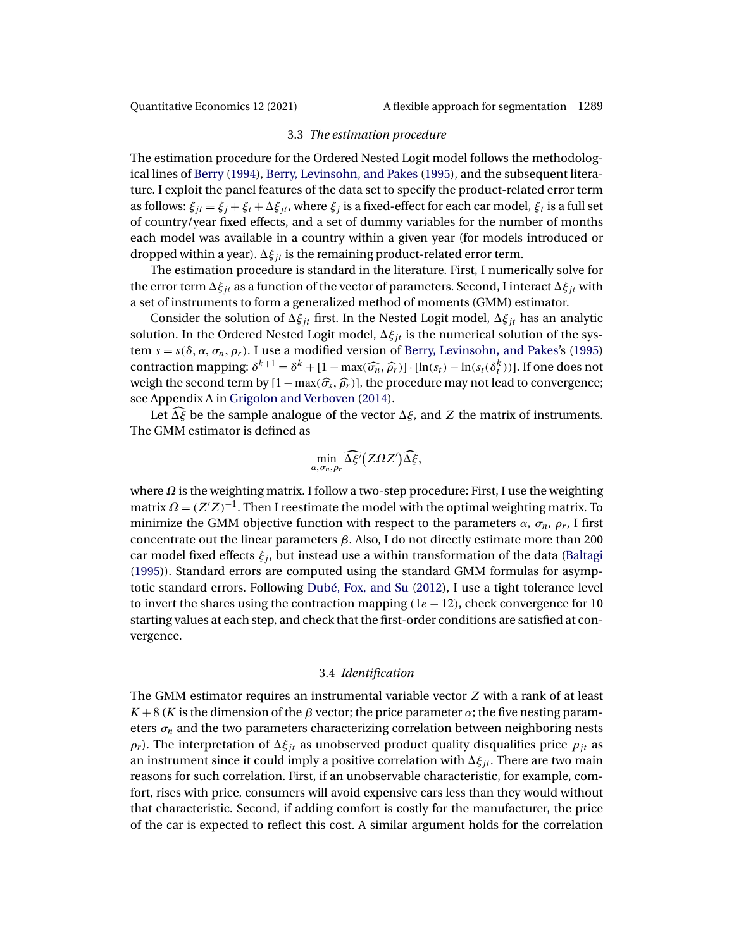### 3.3 *The estimation procedure*

<span id="page-16-0"></span>The estimation procedure for the Ordered Nested Logit model follows the methodological lines of [Berry](#page-30-0) [\(1994\)](#page-30-0), [Berry, Levinsohn, and Pakes](#page-30-0) [\(1995\)](#page-30-0), and the subsequent literature. I exploit the panel features of the data set to specify the product-related error term as follows:  $\xi_{it} = \xi_i + \xi_t + \Delta \xi_{it}$ , where  $\xi_i$  is a fixed-effect for each car model,  $\xi_t$  is a full set of country/year fixed effects, and a set of dummy variables for the number of months each model was available in a country within a given year (for models introduced or dropped within a year).  $\Delta \xi_{jt}$  is the remaining product-related error term.

The estimation procedure is standard in the literature. First, I numerically solve for the error term  $\Delta \xi_{it}$  as a function of the vector of parameters. Second, I interact  $\Delta \xi_{it}$  with a set of instruments to form a generalized method of moments (GMM) estimator.

Consider the solution of  $\Delta \xi_{it}$  first. In the Nested Logit model,  $\Delta \xi_{it}$  has an analytic solution. In the Ordered Nested Logit model,  $\Delta \xi_{jt}$  is the numerical solution of the system  $s = s(\delta, \alpha, \sigma_n, \rho_r)$ . I use a modified version of [Berry, Levinsohn, and Pakes'](#page-30-0)s [\(1995\)](#page-30-0) contraction mapping:  $\delta^{k+1} = \delta^k + [1 - \max(\widehat{\sigma}_n, \widehat{\rho}_r)] \cdot [\ln(s_t) - \ln(s_t(\delta_t^k))]$ . If one does not weigh the second term by  $[1 - \max(\widehat{\sigma}_s, \widehat{\rho}_r)]$ , the procedure may not lead to convergence; see Appendix A in [Grigolon and Verboven](#page-31-0) [\(2014\)](#page-31-0).

Let  $\widehat{\Delta \xi}$  be the sample analogue of the vector  $\Delta \xi$ , and Z the matrix of instruments. The GMM estimator is defined as

$$
\min_{\alpha,\sigma_n,\rho_r} \widehat{\Delta \xi'}(Z\Omega Z') \widehat{\Delta \xi},
$$

where  $\Omega$  is the weighting matrix. I follow a two-step procedure: First, I use the weighting matrix  $\Omega = (Z'Z)^{-1}$ . Then I reestimate the model with the optimal weighting matrix. To minimize the GMM objective function with respect to the parameters  $\alpha$ ,  $\sigma_n$ ,  $\rho_r$ , I first concentrate out the linear parameters β. Also, I do not directly estimate more than 200 car model fixed effects  $\xi_i$ , but instead use a within transformation of the data [\(Baltagi](#page-30-0) [\(1995\)](#page-30-0)). Standard errors are computed using the standard GMM formulas for asymptotic standard errors. Following [Dubé, Fox, and Su](#page-31-0) [\(2012\)](#page-31-0), I use a tight tolerance level to invert the shares using the contraction mapping  $(1e - 12)$ , check convergence for 10 starting values at each step, and check that the first-order conditions are satisfied at convergence.

## 3.4 *Identification*

The GMM estimator requires an instrumental variable vector Z with a rank of at least  $K + 8$  (K is the dimension of the  $\beta$  vector; the price parameter  $\alpha$ ; the five nesting parameters  $\sigma_n$  and the two parameters characterizing correlation between neighboring nests  $\rho_r$ ). The interpretation of  $\Delta \xi_{it}$  as unobserved product quality disqualifies price  $p_{it}$  as an instrument since it could imply a positive correlation with  $\Delta \xi_{it}$ . There are two main reasons for such correlation. First, if an unobservable characteristic, for example, comfort, rises with price, consumers will avoid expensive cars less than they would without that characteristic. Second, if adding comfort is costly for the manufacturer, the price of the car is expected to reflect this cost. A similar argument holds for the correlation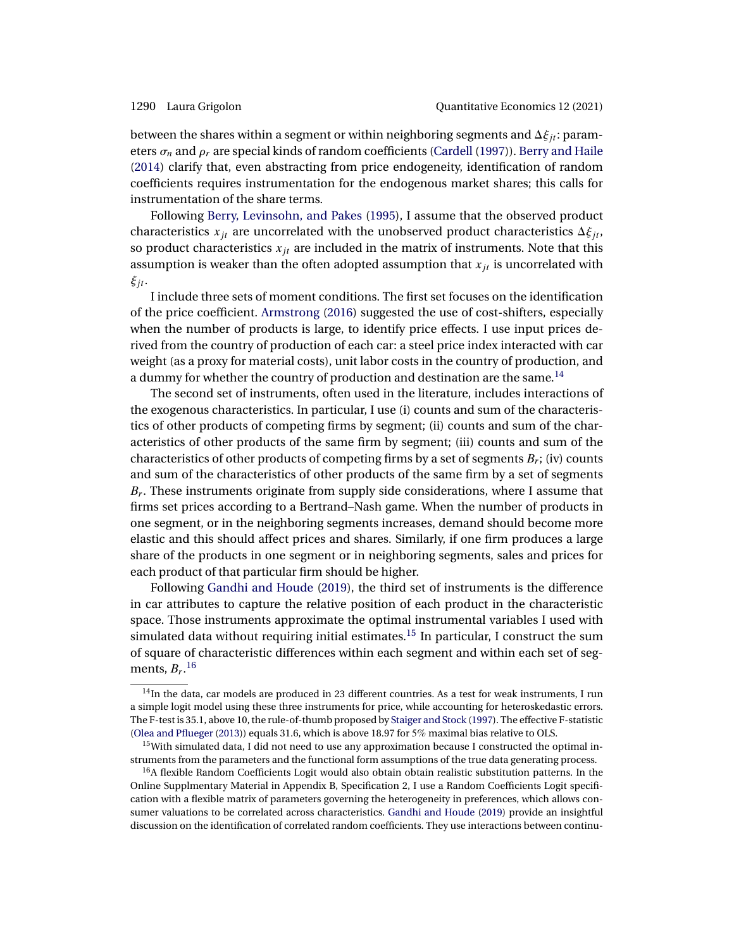<span id="page-17-0"></span>between the shares within a segment or within neighboring segments and  $\Delta \xi_{it}$ : parameters  $\sigma_n$  and  $\rho_r$  are special kinds of random coefficients [\(Cardell](#page-30-0) [\(1997\)](#page-30-0)). [Berry and Haile](#page-30-0) [\(2014\)](#page-30-0) clarify that, even abstracting from price endogeneity, identification of random coefficients requires instrumentation for the endogenous market shares; this calls for instrumentation of the share terms.

Following [Berry, Levinsohn, and Pakes](#page-30-0) [\(1995\)](#page-30-0), I assume that the observed product characteristics  $x_{jt}$  are uncorrelated with the unobserved product characteristics  $\Delta \xi_{jt}$ , so product characteristics  $x_{jt}$  are included in the matrix of instruments. Note that this assumption is weaker than the often adopted assumption that  $x_{it}$  is uncorrelated with  $\xi_{jt}$ .

I include three sets of moment conditions. The first set focuses on the identification of the price coefficient. [Armstrong](#page-29-0) [\(2016\)](#page-29-0) suggested the use of cost-shifters, especially when the number of products is large, to identify price effects. I use input prices derived from the country of production of each car: a steel price index interacted with car weight (as a proxy for material costs), unit labor costs in the country of production, and a dummy for whether the country of production and destination are the same.<sup>14</sup>

The second set of instruments, often used in the literature, includes interactions of the exogenous characteristics. In particular, I use (i) counts and sum of the characteristics of other products of competing firms by segment; (ii) counts and sum of the characteristics of other products of the same firm by segment; (iii) counts and sum of the characteristics of other products of competing firms by a set of segments  $B_r$ ; (iv) counts and sum of the characteristics of other products of the same firm by a set of segments  $B_r$ . These instruments originate from supply side considerations, where I assume that firms set prices according to a Bertrand–Nash game. When the number of products in one segment, or in the neighboring segments increases, demand should become more elastic and this should affect prices and shares. Similarly, if one firm produces a large share of the products in one segment or in neighboring segments, sales and prices for each product of that particular firm should be higher.

Following [Gandhi and Houde](#page-31-0) [\(2019\)](#page-31-0), the third set of instruments is the difference in car attributes to capture the relative position of each product in the characteristic space. Those instruments approximate the optimal instrumental variables I used with simulated data without requiring initial estimates.<sup>15</sup> In particular, I construct the sum of square of characteristic differences within each segment and within each set of segments,  $B_r$ .<sup>16</sup>

<sup>&</sup>lt;sup>14</sup>In the data, car models are produced in 23 different countries. As a test for weak instruments, I run a simple logit model using these three instruments for price, while accounting for heteroskedastic errors. The F-test is 35.1, above 10, the rule-of-thumb proposed by [Staiger and Stock](#page-32-0) [\(1997\)](#page-32-0). The effective F-statistic [\(Olea and Pflueger](#page-32-0) [\(2013\)](#page-32-0)) equals 31.6, which is above 18.97 for 5% maximal bias relative to OLS.

<sup>&</sup>lt;sup>15</sup>With simulated data, I did not need to use any approximation because I constructed the optimal instruments from the parameters and the functional form assumptions of the true data generating process.

<sup>&</sup>lt;sup>16</sup>A flexible Random Coefficients Logit would also obtain obtain realistic substitution patterns. In the Online Supplmentary Material in Appendix B, Specification 2, I use a Random Coefficients Logit specification with a flexible matrix of parameters governing the heterogeneity in preferences, which allows consumer valuations to be correlated across characteristics. [Gandhi and Houde](#page-31-0) [\(2019\)](#page-31-0) provide an insightful discussion on the identification of correlated random coefficients. They use interactions between continu-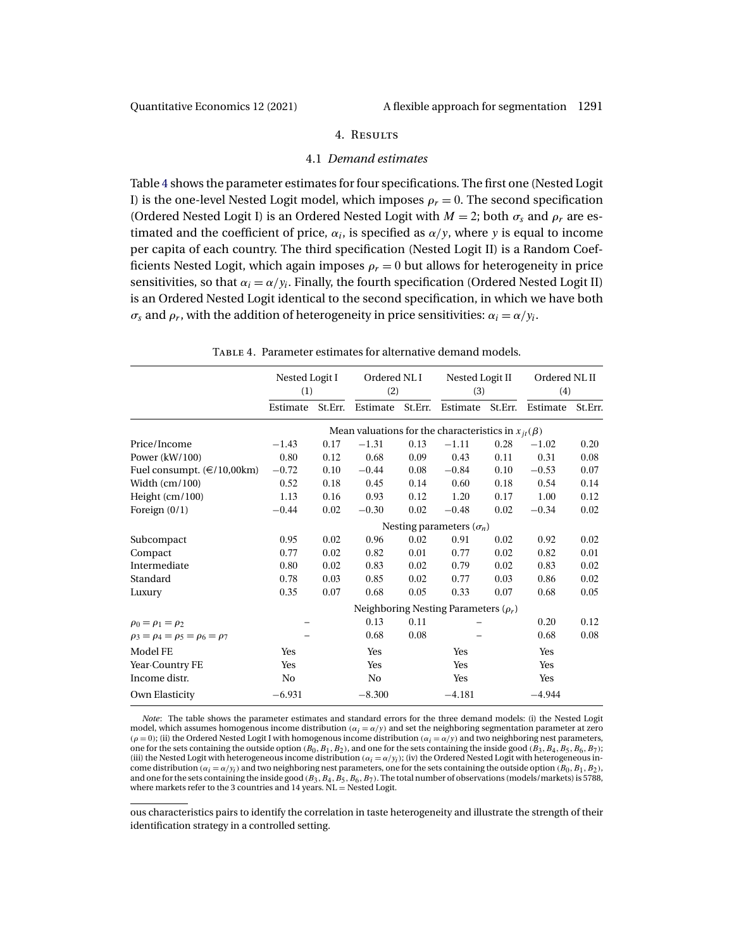### 4. Results

### 4.1 *Demand estimates*

<span id="page-18-0"></span>Table 4 shows the parameter estimates for four specifications. The first one (Nested Logit I) is the one-level Nested Logit model, which imposes  $\rho_r = 0$ . The second specification (Ordered Nested Logit I) is an Ordered Nested Logit with  $M = 2$ ; both  $\sigma_s$  and  $\rho_r$  are estimated and the coefficient of price,  $\alpha_i$ , is specified as  $\alpha/y$ , where y is equal to income per capita of each country. The third specification (Nested Logit II) is a Random Coefficients Nested Logit, which again imposes  $\rho_r = 0$  but allows for heterogeneity in price sensitivities, so that  $\alpha_i = \alpha/y_i$ . Finally, the fourth specification (Ordered Nested Logit II) is an Ordered Nested Logit identical to the second specification, in which we have both  $\sigma_s$  and  $\rho_r$ , with the addition of heterogeneity in price sensitivities:  $\alpha_i = \alpha / y_i$ .

|                                              | Nested Logit I<br>(1)           |         | Ordered NL I<br>(2)                                        |         | Nested Logit II<br>(3) |         | Ordered NL II<br>(4) |         |
|----------------------------------------------|---------------------------------|---------|------------------------------------------------------------|---------|------------------------|---------|----------------------|---------|
|                                              | Estimate                        | St.Err. | Estimate                                                   | St.Err. | Estimate               | St.Err. | Estimate             | St.Err. |
|                                              |                                 |         | Mean valuations for the characteristics in $x_{it}(\beta)$ |         |                        |         |                      |         |
| Price/Income                                 | $-1.43$                         | 0.17    | $-1.31$                                                    | 0.13    | $-1.11$                | 0.28    | $-1.02$              | 0.20    |
| Power $(kW/100)$                             | 0.80                            | 0.12    | 0.68                                                       | 0.09    | 0.43                   | 0.11    | 0.31                 | 0.08    |
| Fuel consumpt. (€/10,00km)                   | $-0.72$                         | 0.10    | $-0.44$                                                    | 0.08    | $-0.84$                | 0.10    | $-0.53$              | 0.07    |
| Width $(cm/100)$                             | 0.52                            | 0.18    | 0.45                                                       | 0.14    | 0.60                   | 0.18    | 0.54                 | 0.14    |
| Height $(cm/100)$                            | 1.13                            | 0.16    | 0.93                                                       | 0.12    | 1.20                   | 0.17    | 1.00                 | 0.12    |
| Foreign $(0/1)$                              | $-0.44$                         | 0.02    | $-0.30$                                                    | 0.02    | $-0.48$                | 0.02    | $-0.34$              | 0.02    |
|                                              | Nesting parameters $(\sigma_n)$ |         |                                                            |         |                        |         |                      |         |
| Subcompact                                   | 0.95                            | 0.02    | 0.96                                                       | 0.02    | 0.91                   | 0.02    | 0.92                 | 0.02    |
| Compact                                      | 0.77                            | 0.02    | 0.82                                                       | 0.01    | 0.77                   | 0.02    | 0.82                 | 0.01    |
| Intermediate                                 | 0.80                            | 0.02    | 0.83                                                       | 0.02    | 0.79                   | 0.02    | 0.83                 | 0.02    |
| Standard                                     | 0.78                            | 0.03    | 0.85                                                       | 0.02    | 0.77                   | 0.03    | 0.86                 | 0.02    |
| Luxury                                       | 0.35                            | 0.07    | 0.68                                                       | 0.05    | 0.33                   | 0.07    | 0.68                 | 0.05    |
|                                              |                                 |         | Neighboring Nesting Parameters $(\rho_r)$                  |         |                        |         |                      |         |
| $\rho_0 = \rho_1 = \rho_2$                   |                                 |         | 0.13                                                       | 0.11    |                        |         | 0.20                 | 0.12    |
| $\rho_3 = \rho_4 = \rho_5 = \rho_6 = \rho_7$ |                                 |         | 0.68                                                       | 0.08    |                        |         | 0.68                 | 0.08    |
| Model FE                                     | Yes                             |         | Yes                                                        |         | Yes                    |         | Yes                  |         |
| Year Country FE                              | Yes                             |         | Yes                                                        |         | Yes                    |         | Yes                  |         |
| Income distr.                                | No                              |         | No                                                         |         | Yes                    |         | Yes                  |         |
| Own Elasticity                               | $-6.931$                        |         | $-8.300$                                                   |         | $-4.181$               |         | $-4.944$             |         |

TABLE 4. Parameter estimates for alternative demand models.

*Note*: The table shows the parameter estimates and standard errors for the three demand models: (i) the Nested Logit model, which assumes homogenous income distribution ( $\alpha_i = \alpha/y$ ) and set the neighboring segmentation parameter at zero  $(\rho = 0)$ ; (ii) the Ordered Nested Logit I with homogenous income distribution  $(\alpha_i = \alpha/y)$  and two neighboring nest parameters, one for the sets containing the outside option  $(B_0, B_1, B_2)$ , and one for the sets containing the inside good  $(B_3, B_4, B_5, B_6, B_7)$ ; (iii) the Nested Logit with heterogeneous income distribution ( $\alpha_i = \alpha/y_i$ ); (iv) the Ordered Nested Logit with heterogeneous income distribution  $(\alpha_i = \alpha/y_i)$  and two neighboring nest parameters, one for the sets containing the outside option  $(B_0, B_1, B_2)$ , and one for the sets containing the inside good  $(B_3, B_4, B_5, B_6, B_7)$ . The total number of observations (models/markets) is 5788, where markets refer to the 3 countries and 14 years.  $NL =$  Nested Logit.

ous characteristics pairs to identify the correlation in taste heterogeneity and illustrate the strength of their identification strategy in a controlled setting.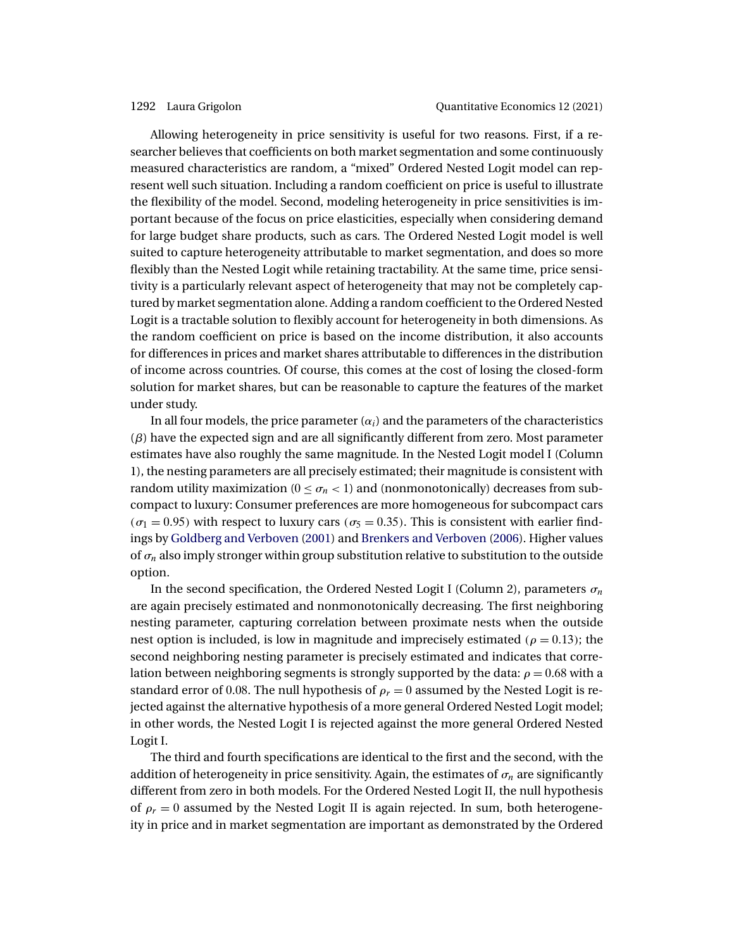<span id="page-19-0"></span>Allowing heterogeneity in price sensitivity is useful for two reasons. First, if a researcher believes that coefficients on both market segmentation and some continuously measured characteristics are random, a "mixed" Ordered Nested Logit model can represent well such situation. Including a random coefficient on price is useful to illustrate the flexibility of the model. Second, modeling heterogeneity in price sensitivities is important because of the focus on price elasticities, especially when considering demand for large budget share products, such as cars. The Ordered Nested Logit model is well suited to capture heterogeneity attributable to market segmentation, and does so more flexibly than the Nested Logit while retaining tractability. At the same time, price sensitivity is a particularly relevant aspect of heterogeneity that may not be completely captured by market segmentation alone. Adding a random coefficient to the Ordered Nested Logit is a tractable solution to flexibly account for heterogeneity in both dimensions. As the random coefficient on price is based on the income distribution, it also accounts for differences in prices and market shares attributable to differences in the distribution of income across countries. Of course, this comes at the cost of losing the closed-form solution for market shares, but can be reasonable to capture the features of the market under study.

In all four models, the price parameter  $(\alpha_i)$  and the parameters of the characteristics  $(\beta)$  have the expected sign and are all significantly different from zero. Most parameter estimates have also roughly the same magnitude. In the Nested Logit model I (Column 1), the nesting parameters are all precisely estimated; their magnitude is consistent with random utility maximization ( $0 < \sigma_n < 1$ ) and (nonmonotonically) decreases from subcompact to luxury: Consumer preferences are more homogeneous for subcompact cars  $(\sigma_1 = 0.95)$  with respect to luxury cars  $(\sigma_5 = 0.35)$ . This is consistent with earlier findings by [Goldberg and Verboven](#page-31-0) [\(2001\)](#page-31-0) and [Brenkers and Verboven](#page-30-0) [\(2006\)](#page-30-0). Higher values of  $\sigma_n$  also imply stronger within group substitution relative to substitution to the outside option.

In the second specification, the Ordered Nested Logit I (Column 2), parameters  $\sigma_n$ are again precisely estimated and nonmonotonically decreasing. The first neighboring nesting parameter, capturing correlation between proximate nests when the outside nest option is included, is low in magnitude and imprecisely estimated ( $\rho = 0.13$ ); the second neighboring nesting parameter is precisely estimated and indicates that correlation between neighboring segments is strongly supported by the data:  $\rho = 0.68$  with a standard error of 0.08. The null hypothesis of  $\rho_r = 0$  assumed by the Nested Logit is rejected against the alternative hypothesis of a more general Ordered Nested Logit model; in other words, the Nested Logit I is rejected against the more general Ordered Nested Logit I.

The third and fourth specifications are identical to the first and the second, with the addition of heterogeneity in price sensitivity. Again, the estimates of  $\sigma_n$  are significantly different from zero in both models. For the Ordered Nested Logit II, the null hypothesis of  $\rho_r = 0$  assumed by the Nested Logit II is again rejected. In sum, both heterogeneity in price and in market segmentation are important as demonstrated by the Ordered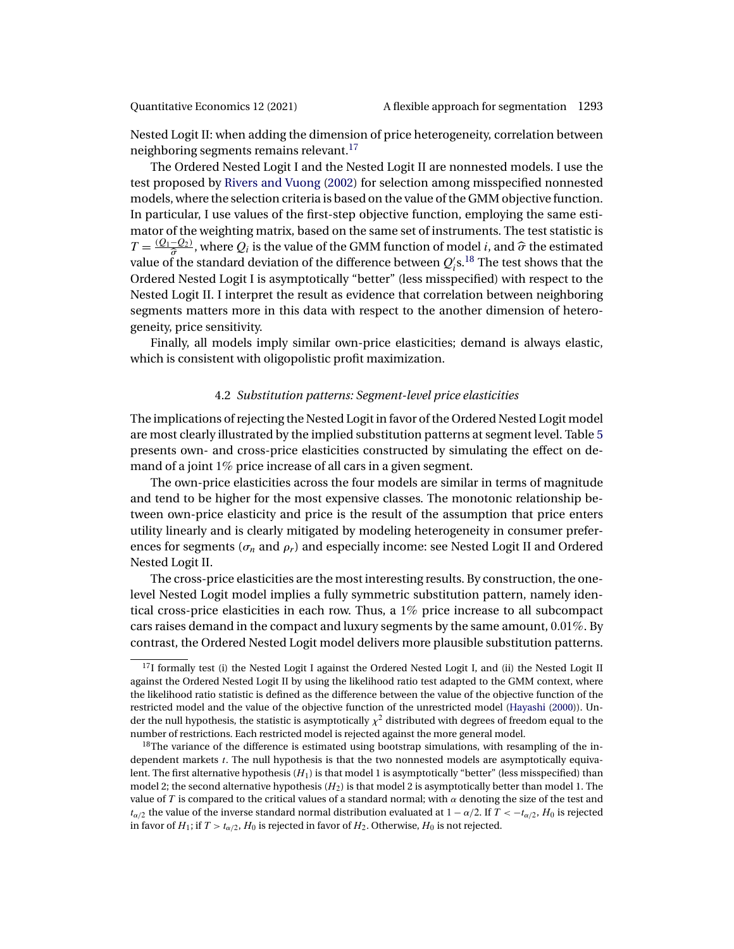<span id="page-20-0"></span>

Nested Logit II: when adding the dimension of price heterogeneity, correlation between neighboring segments remains relevant.<sup>17</sup>

The Ordered Nested Logit I and the Nested Logit II are nonnested models. I use the test proposed by [Rivers and Vuong](#page-32-0) [\(2002\)](#page-32-0) for selection among misspecified nonnested models, where the selection criteria is based on the value of the GMM objective function. In particular, I use values of the first-step objective function, employing the same estimator of the weighting matrix, based on the same set of instruments. The test statistic is  $T = \frac{(Q_1 - Q_2)}{\hat{\sigma}}$ , where  $Q_i$  is the value of the GMM function of model *i*, and  $\hat{\sigma}$  the estimated well is a standard deviation of the difference between  $Q'_0$  is The test above that the value of the standard deviation of the difference between  $Q_{i}^{\prime}$ s. $^{18}$  The test shows that the Ordered Nested Logit I is asymptotically "better" (less misspecified) with respect to the Nested Logit II. I interpret the result as evidence that correlation between neighboring segments matters more in this data with respect to the another dimension of heterogeneity, price sensitivity.

Finally, all models imply similar own-price elasticities; demand is always elastic, which is consistent with oligopolistic profit maximization.

## 4.2 *Substitution patterns: Segment-level price elasticities*

The implications of rejecting the Nested Logit in favor of the Ordered Nested Logit model are most clearly illustrated by the implied substitution patterns at segment level. Table [5](#page-21-0) presents own- and cross-price elasticities constructed by simulating the effect on demand of a joint 1% price increase of all cars in a given segment.

The own-price elasticities across the four models are similar in terms of magnitude and tend to be higher for the most expensive classes. The monotonic relationship between own-price elasticity and price is the result of the assumption that price enters utility linearly and is clearly mitigated by modeling heterogeneity in consumer preferences for segments ( $\sigma_n$  and  $\rho_r$ ) and especially income: see Nested Logit II and Ordered Nested Logit II.

The cross-price elasticities are the most interesting results. By construction, the onelevel Nested Logit model implies a fully symmetric substitution pattern, namely identical cross-price elasticities in each row. Thus, a 1% price increase to all subcompact cars raises demand in the compact and luxury segments by the same amount,  $0.01\%$ . By contrast, the Ordered Nested Logit model delivers more plausible substitution patterns.

 $17$ I formally test (i) the Nested Logit I against the Ordered Nested Logit I, and (ii) the Nested Logit II against the Ordered Nested Logit II by using the likelihood ratio test adapted to the GMM context, where the likelihood ratio statistic is defined as the difference between the value of the objective function of the restricted model and the value of the objective function of the unrestricted model [\(Hayashi](#page-31-0) [\(2000\)](#page-31-0)). Under the null hypothesis, the statistic is asymptotically  $\chi^2$  distributed with degrees of freedom equal to the number of restrictions. Each restricted model is rejected against the more general model.

 $18$ The variance of the difference is estimated using bootstrap simulations, with resampling of the independent markets t. The null hypothesis is that the two nonnested models are asymptotically equivalent. The first alternative hypothesis  $(H_1)$  is that model 1 is asymptotically "better" (less misspecified) than model 2; the second alternative hypothesis  $(H_2)$  is that model 2 is asymptotically better than model 1. The value of T is compared to the critical values of a standard normal; with  $\alpha$  denoting the size of the test and  $t_{\alpha/2}$  the value of the inverse standard normal distribution evaluated at  $1 - \alpha/2$ . If  $T < -t_{\alpha/2}$ ,  $H_0$  is rejected in favor of  $H_1$ ; if  $T > t_{\alpha/2}$ ,  $H_0$  is rejected in favor of  $H_2$ . Otherwise,  $H_0$  is not rejected.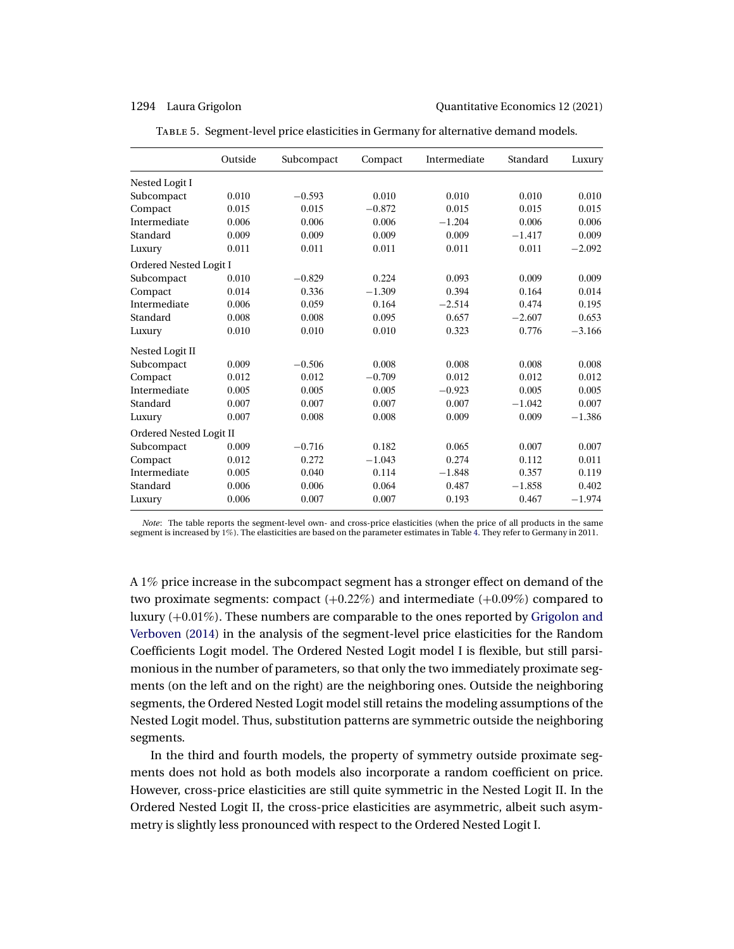<span id="page-21-0"></span>1294 Laura Grigolon Quantitative Economics 12 (2021)

|                         | Outside | Subcompact | Compact  | Intermediate | Standard | Luxury   |  |  |
|-------------------------|---------|------------|----------|--------------|----------|----------|--|--|
| Nested Logit I          |         |            |          |              |          |          |  |  |
| Subcompact              | 0.010   | $-0.593$   | 0.010    | 0.010        | 0.010    | 0.010    |  |  |
| Compact                 | 0.015   | 0.015      | $-0.872$ | 0.015        | 0.015    | 0.015    |  |  |
| Intermediate            | 0.006   | 0.006      | 0.006    | $-1.204$     | 0.006    | 0.006    |  |  |
| Standard                | 0.009   | 0.009      | 0.009    | 0.009        | $-1.417$ | 0.009    |  |  |
| Luxury                  | 0.011   | 0.011      | 0.011    | 0.011        | 0.011    | $-2.092$ |  |  |
| Ordered Nested Logit I  |         |            |          |              |          |          |  |  |
| Subcompact              | 0.010   | $-0.829$   | 0.224    | 0.093        | 0.009    | 0.009    |  |  |
| Compact                 | 0.014   | 0.336      | $-1.309$ | 0.394        | 0.164    | 0.014    |  |  |
| Intermediate            | 0.006   | 0.059      | 0.164    | $-2.514$     | 0.474    | 0.195    |  |  |
| Standard                | 0.008   | 0.008      | 0.095    | 0.657        | $-2.607$ | 0.653    |  |  |
| Luxury                  | 0.010   | 0.010      | 0.010    | 0.323        | 0.776    | $-3.166$ |  |  |
| Nested Logit II         |         |            |          |              |          |          |  |  |
| Subcompact              | 0.009   | $-0.506$   | 0.008    | 0.008        | 0.008    | 0.008    |  |  |
| Compact                 | 0.012   | 0.012      | $-0.709$ | 0.012        | 0.012    | 0.012    |  |  |
| Intermediate            | 0.005   | 0.005      | 0.005    | $-0.923$     | 0.005    | 0.005    |  |  |
| Standard                | 0.007   | 0.007      | 0.007    | 0.007        | $-1.042$ | 0.007    |  |  |
| Luxury                  | 0.007   | 0.008      | 0.008    | 0.009        | 0.009    | $-1.386$ |  |  |
| Ordered Nested Logit II |         |            |          |              |          |          |  |  |
| Subcompact              | 0.009   | $-0.716$   | 0.182    | 0.065        | 0.007    | 0.007    |  |  |
| Compact                 | 0.012   | 0.272      | $-1.043$ | 0.274        | 0.112    | 0.011    |  |  |
| Intermediate            | 0.005   | 0.040      | 0.114    | $-1.848$     | 0.357    | 0.119    |  |  |
| Standard                | 0.006   | 0.006      | 0.064    | 0.487        | $-1.858$ | 0.402    |  |  |
| Luxury                  | 0.006   | 0.007      | 0.007    | 0.193        | 0.467    | $-1.974$ |  |  |

Table 5. Segment-level price elasticities in Germany for alternative demand models.

*Note*: The table reports the segment-level own- and cross-price elasticities (when the price of all products in the same segment is increased by 1%). The elasticities are based on the parameter estimates in Table [4.](#page-18-0) They refer to Germany in 2011.

A 1% price increase in the subcompact segment has a stronger effect on demand of the two proximate segments: compact  $(+0.22\%)$  and intermediate  $(+0.09\%)$  compared to luxury  $(+0.01\%)$ . These numbers are comparable to the ones reported by [Grigolon and](#page-31-0) [Verboven](#page-31-0) [\(2014\)](#page-31-0) in the analysis of the segment-level price elasticities for the Random Coefficients Logit model. The Ordered Nested Logit model I is flexible, but still parsimonious in the number of parameters, so that only the two immediately proximate segments (on the left and on the right) are the neighboring ones. Outside the neighboring segments, the Ordered Nested Logit model still retains the modeling assumptions of the Nested Logit model. Thus, substitution patterns are symmetric outside the neighboring segments.

In the third and fourth models, the property of symmetry outside proximate segments does not hold as both models also incorporate a random coefficient on price. However, cross-price elasticities are still quite symmetric in the Nested Logit II. In the Ordered Nested Logit II, the cross-price elasticities are asymmetric, albeit such asymmetry is slightly less pronounced with respect to the Ordered Nested Logit I.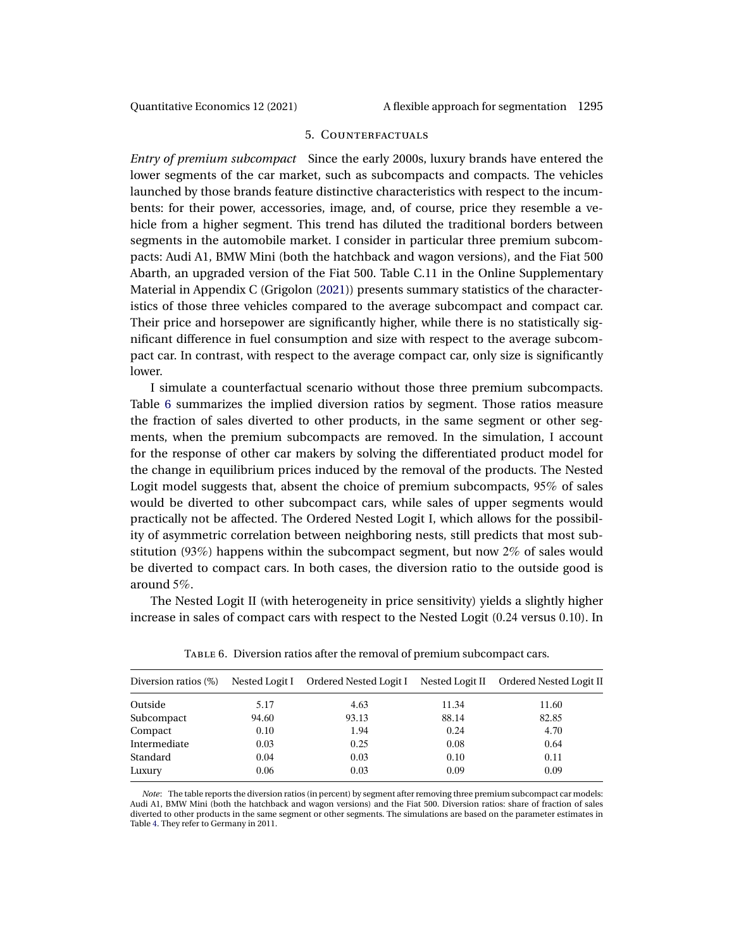<span id="page-22-0"></span>

### 5. Counterfactuals

*Entry of premium subcompact* Since the early 2000s, luxury brands have entered the lower segments of the car market, such as subcompacts and compacts. The vehicles launched by those brands feature distinctive characteristics with respect to the incumbents: for their power, accessories, image, and, of course, price they resemble a vehicle from a higher segment. This trend has diluted the traditional borders between segments in the automobile market. I consider in particular three premium subcompacts: Audi A1, BMW Mini (both the hatchback and wagon versions), and the Fiat 500 Abarth, an upgraded version of the Fiat 500. Table C.11 in the Online Supplementary Material in Appendix C (Grigolon [\(2021\)](#page-31-0)) presents summary statistics of the characteristics of those three vehicles compared to the average subcompact and compact car. Their price and horsepower are significantly higher, while there is no statistically significant difference in fuel consumption and size with respect to the average subcompact car. In contrast, with respect to the average compact car, only size is significantly lower.

I simulate a counterfactual scenario without those three premium subcompacts. Table 6 summarizes the implied diversion ratios by segment. Those ratios measure the fraction of sales diverted to other products, in the same segment or other segments, when the premium subcompacts are removed. In the simulation, I account for the response of other car makers by solving the differentiated product model for the change in equilibrium prices induced by the removal of the products. The Nested Logit model suggests that, absent the choice of premium subcompacts, 95% of sales would be diverted to other subcompact cars, while sales of upper segments would practically not be affected. The Ordered Nested Logit I, which allows for the possibility of asymmetric correlation between neighboring nests, still predicts that most substitution (93%) happens within the subcompact segment, but now 2% of sales would be diverted to compact cars. In both cases, the diversion ratio to the outside good is around 5%.

The Nested Logit II (with heterogeneity in price sensitivity) yields a slightly higher increase in sales of compact cars with respect to the Nested Logit (024 versus 010). In

| Diversion ratios (%) | Nested Logit I | Ordered Nested Logit I | Nested Logit II | Ordered Nested Logit II |
|----------------------|----------------|------------------------|-----------------|-------------------------|
| Outside              | 5.17           | 4.63                   | 11.34           | 11.60                   |
| Subcompact           | 94.60          | 93.13                  | 88.14           | 82.85                   |
| Compact              | 0.10           | 1.94                   | 0.24            | 4.70                    |
| Intermediate         | 0.03           | 0.25                   | 0.08            | 0.64                    |
| Standard             | 0.04           | 0.03                   | 0.10            | 0.11                    |
| Luxury               | 0.06           | 0.03                   | 0.09            | 0.09                    |

Table 6. Diversion ratios after the removal of premium subcompact cars.

*Note*: The table reports the diversion ratios (in percent) by segment after removing three premium subcompact car models: Audi A1, BMW Mini (both the hatchback and wagon versions) and the Fiat 500. Diversion ratios: share of fraction of sales diverted to other products in the same segment or other segments. The simulations are based on the parameter estimates in Table [4.](#page-18-0) They refer to Germany in 2011.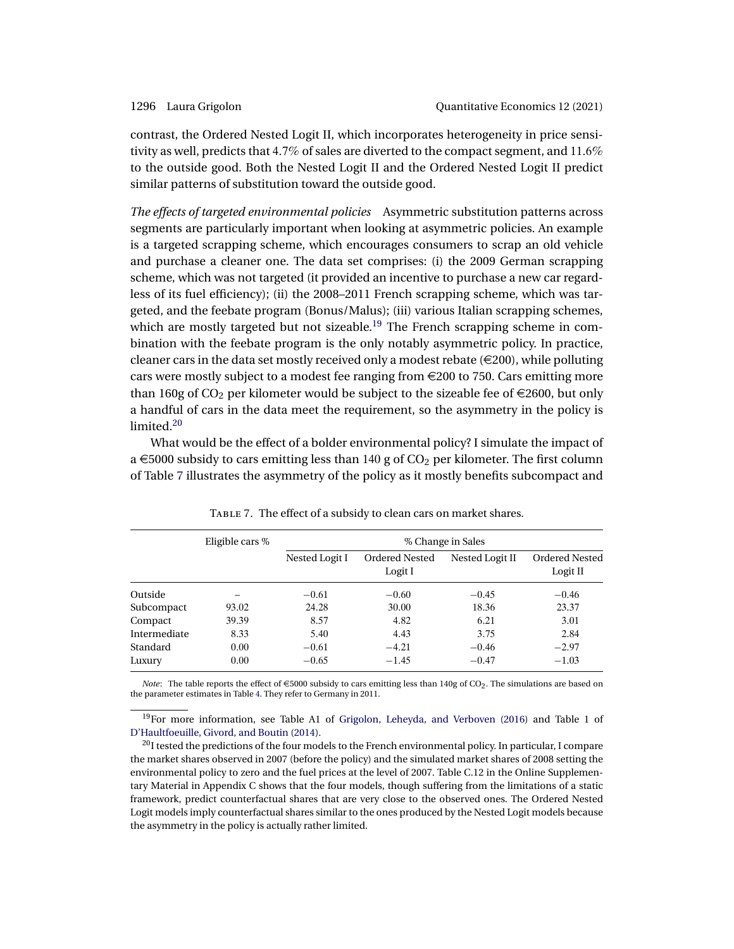<span id="page-23-0"></span>contrast, the Ordered Nested Logit II, which incorporates heterogeneity in price sensitivity as well, predicts that 47% of sales are diverted to the compact segment, and 116% to the outside good. Both the Nested Logit II and the Ordered Nested Logit II predict similar patterns of substitution toward the outside good.

*The effects of targeted environmental policies* Asymmetric substitution patterns across segments are particularly important when looking at asymmetric policies. An example is a targeted scrapping scheme, which encourages consumers to scrap an old vehicle and purchase a cleaner one. The data set comprises: (i) the 2009 German scrapping scheme, which was not targeted (it provided an incentive to purchase a new car regardless of its fuel efficiency); (ii) the 2008–2011 French scrapping scheme, which was targeted, and the feebate program (Bonus/Malus); (iii) various Italian scrapping schemes, which are mostly targeted but not sizeable.<sup>19</sup> The French scrapping scheme in combination with the feebate program is the only notably asymmetric policy. In practice, cleaner cars in the data set mostly received only a modest rebate ( $\in$ 200), while polluting cars were mostly subject to a modest fee ranging from  $\epsilon$ 200 to 750. Cars emitting more than 160g of  $CO<sub>2</sub>$  per kilometer would be subject to the sizeable fee of  $\in$ 2600, but only a handful of cars in the data meet the requirement, so the asymmetry in the policy is limited.<sup>20</sup>

What would be the effect of a bolder environmental policy? I simulate the impact of a  $\epsilon$  5000 subsidy to cars emitting less than 140 g of CO<sub>2</sub> per kilometer. The first column of Table 7 illustrates the asymmetry of the policy as it mostly benefits subcompact and

|              | Eligible cars % | % Change in Sales |                                  |                 |                            |  |  |
|--------------|-----------------|-------------------|----------------------------------|-----------------|----------------------------|--|--|
|              |                 | Nested Logit I    | <b>Ordered Nested</b><br>Logit I | Nested Logit II | Ordered Nested<br>Logit II |  |  |
| Outside      |                 | $-0.61$           | $-0.60$                          | $-0.45$         | $-0.46$                    |  |  |
| Subcompact   | 93.02           | 24.28             | 30.00                            | 18.36           | 23.37                      |  |  |
| Compact      | 39.39           | 8.57              | 4.82                             | 6.21            | 3.01                       |  |  |
| Intermediate | 8.33            | 5.40              | 4.43                             | 3.75            | 2.84                       |  |  |
| Standard     | 0.00            | $-0.61$           | $-4.21$                          | $-0.46$         | $-2.97$                    |  |  |
| Luxury       | 0.00            | $-0.65$           | $-1.45$                          | $-0.47$         | $-1.03$                    |  |  |

TABLE 7. The effect of a subsidy to clean cars on market shares.

*Note*: The table reports the effect of  $\epsilon$ 5000 subsidy to cars emitting less than 140g of CO<sub>2</sub>. The simulations are based on the parameter estimates in Table [4.](#page-18-0) They refer to Germany in 2011.

19For more information, see Table A1 of [Grigolon, Leheyda, and Verboven](#page-31-0) [\(2016\)](#page-31-0) and Table 1 of [D'Haultfoeuille, Givord, and Boutin](#page-31-0) [\(2014\)](#page-31-0).

 $^{20}$  I tested the predictions of the four models to the French environmental policy. In particular, I compare the market shares observed in 2007 (before the policy) and the simulated market shares of 2008 setting the environmental policy to zero and the fuel prices at the level of 2007. Table C.12 in the Online Supplementary Material in Appendix C shows that the four models, though suffering from the limitations of a static framework, predict counterfactual shares that are very close to the observed ones. The Ordered Nested Logit models imply counterfactual shares similar to the ones produced by the Nested Logit models because the asymmetry in the policy is actually rather limited.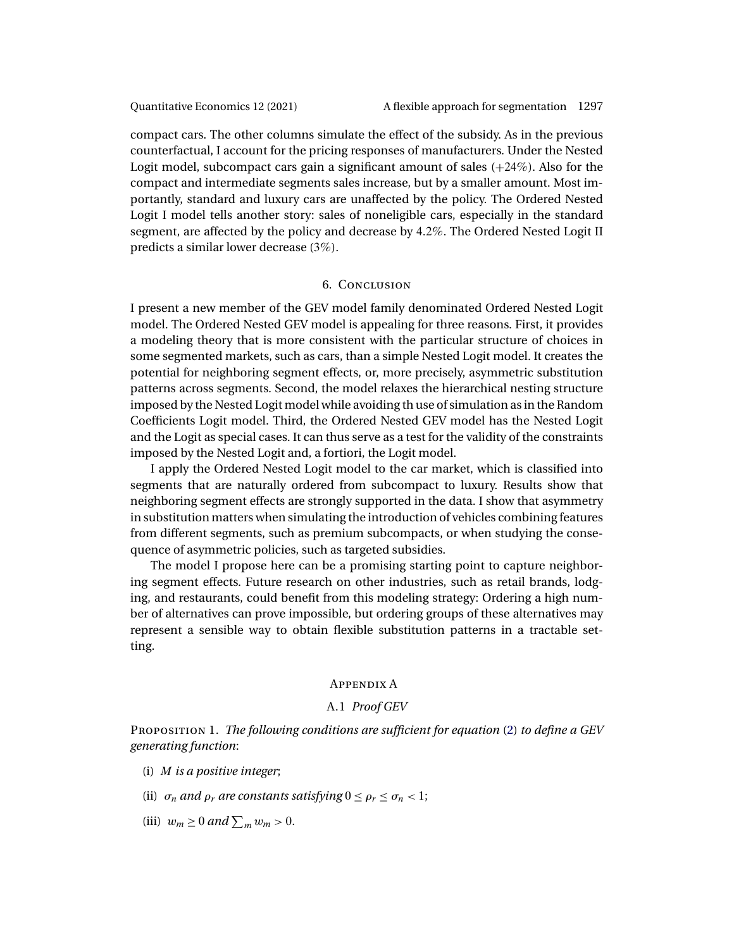<span id="page-24-0"></span>compact cars. The other columns simulate the effect of the subsidy. As in the previous counterfactual, I account for the pricing responses of manufacturers. Under the Nested Logit model, subcompact cars gain a significant amount of sales  $(+24%)$ . Also for the compact and intermediate segments sales increase, but by a smaller amount. Most importantly, standard and luxury cars are unaffected by the policy. The Ordered Nested Logit I model tells another story: sales of noneligible cars, especially in the standard segment, are affected by the policy and decrease by 42%. The Ordered Nested Logit II predicts a similar lower decrease (3%).

## 6. Conclusion

I present a new member of the GEV model family denominated Ordered Nested Logit model. The Ordered Nested GEV model is appealing for three reasons. First, it provides a modeling theory that is more consistent with the particular structure of choices in some segmented markets, such as cars, than a simple Nested Logit model. It creates the potential for neighboring segment effects, or, more precisely, asymmetric substitution patterns across segments. Second, the model relaxes the hierarchical nesting structure imposed by the Nested Logit model while avoiding th use of simulation as in the Random Coefficients Logit model. Third, the Ordered Nested GEV model has the Nested Logit and the Logit as special cases. It can thus serve as a test for the validity of the constraints imposed by the Nested Logit and, a fortiori, the Logit model.

I apply the Ordered Nested Logit model to the car market, which is classified into segments that are naturally ordered from subcompact to luxury. Results show that neighboring segment effects are strongly supported in the data. I show that asymmetry in substitution matters when simulating the introduction of vehicles combining features from different segments, such as premium subcompacts, or when studying the consequence of asymmetric policies, such as targeted subsidies.

The model I propose here can be a promising starting point to capture neighboring segment effects. Future research on other industries, such as retail brands, lodging, and restaurants, could benefit from this modeling strategy: Ordering a high number of alternatives can prove impossible, but ordering groups of these alternatives may represent a sensible way to obtain flexible substitution patterns in a tractable setting.

### Appendix A

## A.1 *Proof GEV*

Proposition 1. *The following conditions are sufficient for equation* [\(2\)](#page-5-0) *to define a GEV generating function*:

- (i) M *is a positive integer*;
- (ii)  $\sigma_n$  *and*  $\rho_r$  *are constants satisfying*  $0 \le \rho_r \le \sigma_n < 1$ ;
- (iii)  $w_m \geq 0$  and  $\sum_m w_m > 0$ .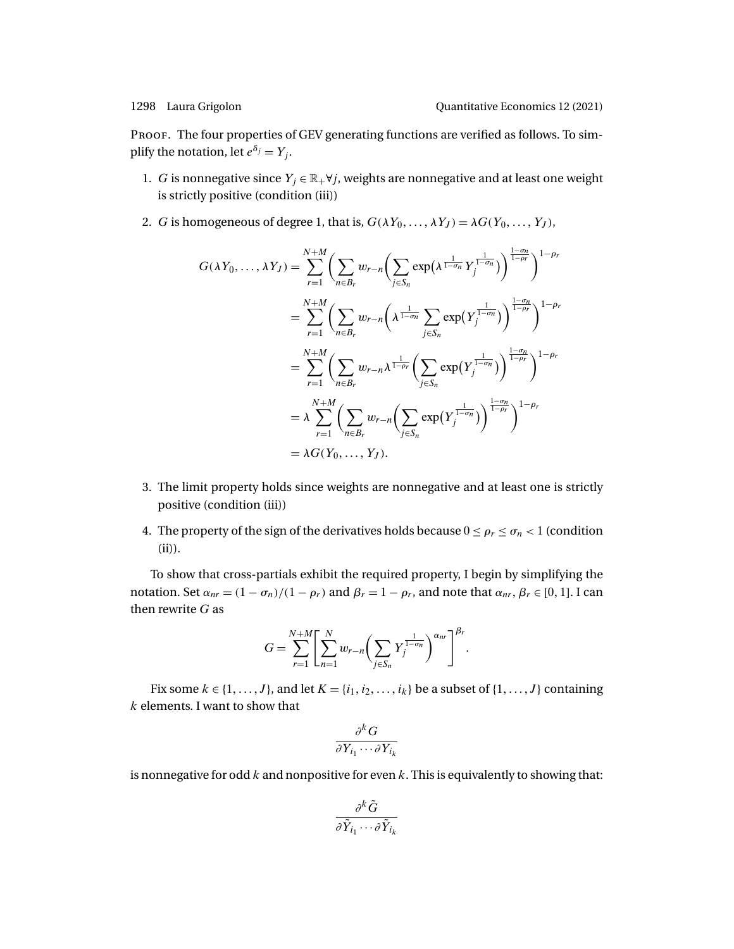PROOF. The four properties of GEV generating functions are verified as follows. To simplify the notation, let  $e^{\delta_j} = Y_i$ .

- 1. G is nonnegative since  $Y_j \in \mathbb{R}_+ \forall j$ , weights are nonnegative and at least one weight is strictly positive (condition (iii))
- 2. *G* is homogeneous of degree 1, that is,  $G(\lambda Y_0, ..., \lambda Y_J) = \lambda G(Y_0, ..., Y_J)$ ,

$$
G(\lambda Y_0, \dots, \lambda Y_J) = \sum_{r=1}^{N+M} \left( \sum_{n \in B_r} w_{r-n} \left( \sum_{j \in S_n} \exp\left(\lambda^{\frac{1}{1-\sigma_n}} Y_j^{\frac{1}{1-\sigma_n}}\right) \right)^{\frac{1-\sigma_n}{1-\rho_r}} \right)^{1-\rho_r}
$$
  
\n
$$
= \sum_{r=1}^{N+M} \left( \sum_{n \in B_r} w_{r-n} \left( \lambda^{\frac{1}{1-\sigma_n}} \sum_{j \in S_n} \exp\left(Y_j^{\frac{1}{1-\sigma_n}}\right) \right)^{\frac{1-\sigma_n}{1-\rho_r}} \right)^{1-\rho_r}
$$
  
\n
$$
= \sum_{r=1}^{N+M} \left( \sum_{n \in B_r} w_{r-n} \lambda^{\frac{1}{1-\rho_r}} \left( \sum_{j \in S_n} \exp\left(Y_j^{\frac{1}{1-\sigma_n}}\right) \right)^{\frac{1-\sigma_n}{1-\rho_r}} \right)^{1-\rho_r}
$$
  
\n
$$
= \lambda \sum_{r=1}^{N+M} \left( \sum_{n \in B_r} w_{r-n} \left( \sum_{j \in S_n} \exp\left(Y_j^{\frac{1}{1-\sigma_n}}\right) \right)^{\frac{1-\sigma_n}{1-\rho_r}} \right)^{1-\rho_r}
$$
  
\n
$$
= \lambda G(Y_0, \dots, Y_J).
$$

- 3. The limit property holds since weights are nonnegative and at least one is strictly positive (condition (iii))
- 4. The property of the sign of the derivatives holds because  $0 \le \rho_r \le \sigma_n < 1$  (condition (ii)).

To show that cross-partials exhibit the required property, I begin by simplifying the notation. Set  $\alpha_{nr} = (1 - \sigma_n)/(1 - \rho_r)$  and  $\beta_r = 1 - \rho_r$ , and note that  $\alpha_{nr}, \beta_r \in [0, 1]$ . I can then rewrite  $G$  as

$$
G = \sum_{r=1}^{N+M} \left[ \sum_{n=1}^{N} w_{r-n} \left( \sum_{j \in S_n} Y_j^{\frac{1}{1-\sigma_n}} \right)^{\alpha_{nr}} \right]^{\beta_r}.
$$

Fix some  $k \in \{1, ..., J\}$ , and let  $K = \{i_1, i_2, ..., i_k\}$  be a subset of  $\{1, ..., J\}$  containing k elements. I want to show that

$$
\frac{\partial^k G}{\partial Y_{i_1} \cdots \partial Y_{i_k}}
$$

is nonnegative for odd  $k$  and nonpositive for even  $k$ . This is equivalently to showing that:

$$
\frac{\partial^k \tilde{G}}{\partial \tilde{Y}_{i_1} \cdots \partial \tilde{Y}_{i_k}}
$$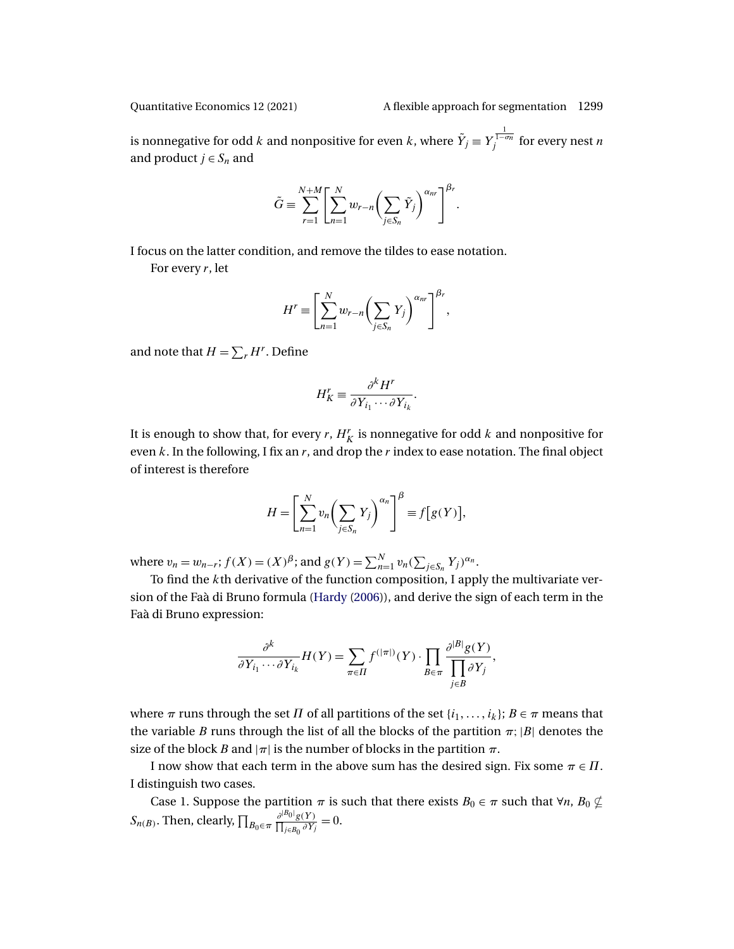<span id="page-26-0"></span>

is nonnegative for odd  $k$  and nonpositive for even  $k$ , where  $\tilde{Y}_j \equiv Y_j^{\frac{1}{1-\sigma_n}}$  for every nest  $n$ and product  $j \in S_n$  and

$$
\tilde{G} \equiv \sum_{r=1}^{N+M} \left[ \sum_{n=1}^{N} w_{r-n} \left( \sum_{j \in S_n} \tilde{Y}_j \right)^{\alpha_{nr}} \right]^{\beta_r}.
$$

I focus on the latter condition, and remove the tildes to ease notation.

For every  $r$ , let

$$
H^{r} \equiv \left[\sum_{n=1}^{N} w_{r-n} \left(\sum_{j\in S_{n}} Y_{j}\right)^{\alpha_{nr}}\right]^{\beta_{r}},
$$

and note that  $H = \sum_{r} H^{r}$ . Define

$$
H_K^r \equiv \frac{\partial^k H^r}{\partial Y_{i_1} \cdots \partial Y_{i_k}}.
$$

It is enough to show that, for every  $r$ ,  $H_K^r$  is nonnegative for odd  $k$  and nonpositive for even  $k$ . In the following, I fix an  $r$ , and drop the  $r$  index to ease notation. The final object of interest is therefore

$$
H = \left[\sum_{n=1}^{N} v_n \left(\sum_{j \in S_n} Y_j\right)^{\alpha_n}\right]^{\beta} \equiv f\left[g(Y)\right],
$$

where  $v_n = w_{n-r}$ ;  $f(X) = (X)^\beta$ ; and  $g(Y) = \sum_{n=1}^N v_n (\sum_{j \in S_n} Y_j)^{\alpha_n}$ .

To find the kth derivative of the function composition, I apply the multivariate version of the Faà di Bruno formula [\(Hardy](#page-31-0) [\(2006\)](#page-31-0)), and derive the sign of each term in the Faà di Bruno expression:

$$
\frac{\partial^k}{\partial Y_{i_1} \cdots \partial Y_{i_k}} H(Y) = \sum_{\pi \in \Pi} f^{(|\pi|)}(Y) \cdot \prod_{B \in \pi} \frac{\partial^{|B|} g(Y)}{\prod_{j \in B} \partial Y_j},
$$

where  $\pi$  runs through the set  $\Pi$  of all partitions of the set  $\{i_1,\ldots,i_k\};$   $B \in \pi$  means that the variable B runs through the list of all the blocks of the partition  $\pi$ ; |B| denotes the size of the block B and  $|\pi|$  is the number of blocks in the partition  $\pi$ .

I now show that each term in the above sum has the desired sign. Fix some  $\pi \in \Pi$ . I distinguish two cases.

Case 1. Suppose the partition  $\pi$  is such that there exists  $B_0 \in \pi$  such that  $\forall n$ ,  $B_0 \nsubseteq S_{n(B)}$ . Then, clearly,  $\prod_{B_0 \in \pi} \frac{\partial^{|B_0|} g(Y)}{\prod_{B \in B_0} \partial Y_i} = 0$ .  $\frac{\partial^{|B_0|} g(Y)}{\prod_{j \in B_0} \partial Y_j} = 0.$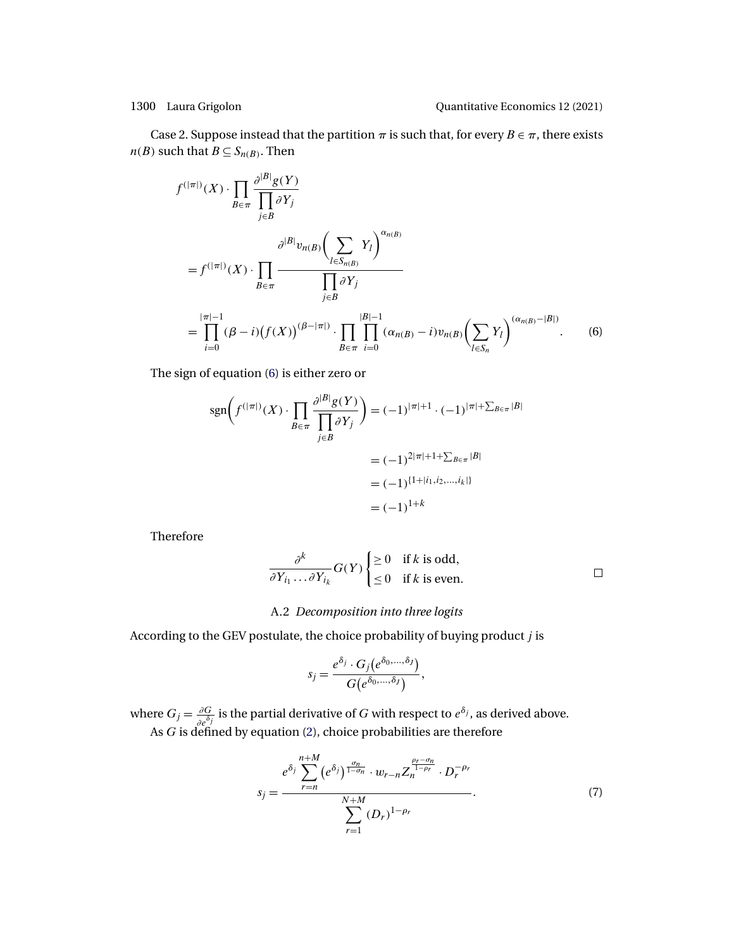<span id="page-27-0"></span>Case 2. Suppose instead that the partition  $\pi$  is such that, for every  $B \in \pi$ , there exists  $n(B)$  such that  $B \subseteq S_{n(B)}$ . Then

$$
f^{(|\pi|)}(X) \cdot \prod_{B \in \pi} \frac{\partial^{|B|} g(Y)}{\prod_{j \in B} \partial Y_j}
$$
  
\n
$$
= f^{(|\pi|)}(X) \cdot \prod_{B \in \pi} \frac{\partial^{|B|} y_{n(B)} (\sum_{l \in S_{n(B)}} Y_l)^{\alpha_{n(B)}}}{\prod_{j \in B} \partial Y_j}
$$
  
\n
$$
= \prod_{i=0}^{|\pi|-1} (\beta - i) (f(X))^{(\beta - |\pi|)} \cdot \prod_{B \in \pi} \prod_{i=0}^{|\beta|-1} (\alpha_{n(B)} - i) v_{n(B)} (\sum_{l \in S_n} Y_l)^{(\alpha_{n(B)} - |B|)}.
$$
 (6)

The sign of equation (6) is either zero or

$$
sgn\left(f^{(|\pi|)}(X) \cdot \prod_{B \in \pi} \frac{\partial^{|B|} g(Y)}{\prod_{j \in B} \partial Y_j}\right) = (-1)^{|\pi|+1} \cdot (-1)^{|\pi|+\sum_{B \in \pi} |B|}
$$

$$
= (-1)^{2|\pi|+1+\sum_{B \in \pi} |B|}
$$

$$
= (-1)^{\{1+|i_1, i_2, \dots, i_k|\}}
$$

$$
= (-1)^{1+k}
$$

Therefore

$$
\frac{\partial^k}{\partial Y_{i_1} \dots \partial Y_{i_k}} G(Y) \begin{cases} \ge 0 & \text{if } k \text{ is odd,} \\ \le 0 & \text{if } k \text{ is even.} \end{cases} \square
$$

## A.2 *Decomposition into three logits*

According to the GEV postulate, the choice probability of buying product  $j$  is

$$
s_j = \frac{e^{\delta_j} \cdot G_j(e^{\delta_0, \dots, \delta_j})}{G(e^{\delta_0, \dots, \delta_j})},
$$

where  $G_j = \frac{\partial G}{\partial e^{\delta_j}}$  is the partial derivative of G with respect to  $e^{\delta_j}$ , as derived above. As  $G$  is defined by equation [\(2\)](#page-5-0), choice probabilities are therefore

$$
s_{j} = \frac{e^{\delta_{j} \sum_{r=n}^{n+M} (e^{\delta_{j}})^{\frac{\sigma_{n}}{1-\sigma_{n}}} \cdot w_{r-n} Z_{n}^{\frac{\rho_{r}-\sigma_{n}}{1-\rho_{r}}}} \cdot D_{r}^{-\rho_{r}}}{\sum_{r=1}^{N+M} (D_{r})^{1-\rho_{r}}}.
$$
 (7)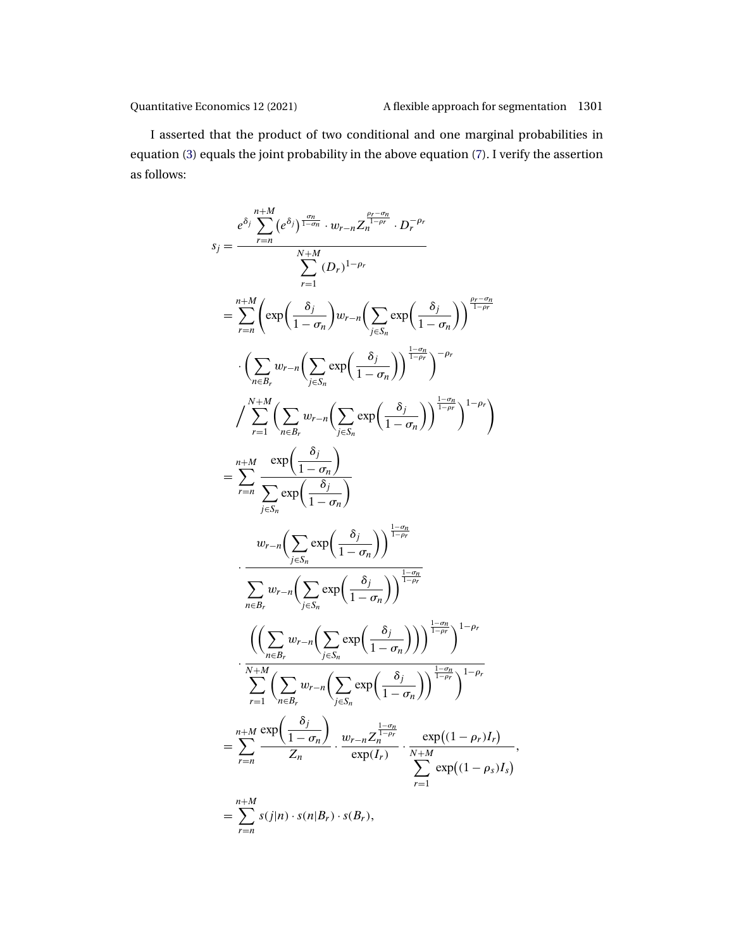-

I asserted that the product of two conditional and one marginal probabilities in equation [\(3\)](#page-6-0) equals the joint probability in the above equation [\(7\)](#page-27-0). I verify the assertion as follows:

$$
s_{j} = \frac{e^{\delta_{j}} \sum_{r=n}^{n+M} (e^{\delta_{j}})^{\frac{\sigma_{n}}{1-\sigma_{n}}} \cdot w_{r-n} Z_{n}^{\frac{\rho_{r}-\sigma_{n}}{\rho_{r}}} \cdot D_{r}^{-\rho_{r}}
$$
\n
$$
= \sum_{r=n}^{n+M} \left( \exp\left(\frac{\delta_{j}}{1-\sigma_{n}}\right) w_{r-n} \left(\sum_{j\in S_{n}} \exp\left(\frac{\delta_{j}}{1-\sigma_{n}}\right)\right)^{\frac{\rho_{r}-\sigma_{n}}{1-\rho_{r}}}
$$
\n
$$
\cdot \left(\sum_{n\in B_{r}} w_{r-n} \left(\sum_{j\in S_{n}} \exp\left(\frac{\delta_{j}}{1-\sigma_{n}}\right)\right)^{\frac{1-\sigma_{n}}{1-\rho_{r}}}\right)^{-\rho_{r}}
$$
\n
$$
\int_{r=1}^{N+M} \left(\sum_{n\in B_{r}} w_{r-n} \left(\sum_{j\in S_{n}} \exp\left(\frac{\delta_{j}}{1-\sigma_{n}}\right)\right)^{\frac{1-\sigma_{n}}{1-\rho_{r}}}\right)^{-\rho_{r}}
$$
\n
$$
= \sum_{r=n}^{n+M} \frac{\exp\left(\frac{\delta_{j}}{1-\sigma_{n}}\right)}{\sum_{j\in S_{n}} \exp\left(\frac{\delta_{j}}{1-\sigma_{n}}\right)}
$$
\n
$$
w_{r-n} \left(\sum_{j\in S_{n}} \exp\left(\frac{\delta_{j}}{1-\sigma_{n}}\right)\right)^{\frac{1-\sigma_{n}}{1-\rho_{r}}}
$$
\n
$$
\cdot \frac{w_{r-n} \left(\sum_{j\in S_{n}} \exp\left(\frac{\delta_{j}}{1-\sigma_{n}}\right)\right)^{\frac{1-\sigma_{n}}{1-\rho_{r}}}}{\sum_{r=1}^{N+M} \left(\sum_{n\in B_{r}} w_{r-n} \left(\sum_{j\in S_{n}} \exp\left(\frac{\delta_{j}}{1-\sigma_{n}}\right)\right)^{\frac{1-\sigma_{n}}{1-\rho_{r}}}}\right)^{1-\rho_{r}}
$$
\n
$$
= \sum_{r=n}^{n+M} \frac{\exp\left(\frac{\delta_{j}}{1-\sigma_{n}}\right)}{\sum_{r=1}^{N+M} \exp\left(\frac{\delta_{j}}{1-\sigma_{n}}\right)} \
$$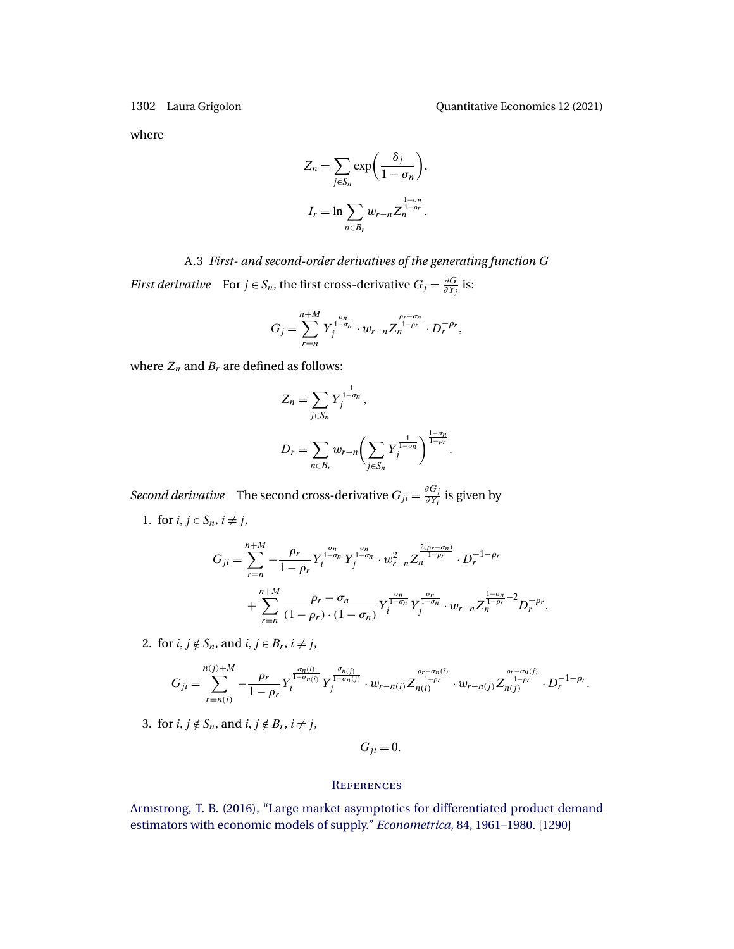<span id="page-29-0"></span>

where

$$
Z_n = \sum_{j \in S_n} \exp\left(\frac{\delta_j}{1 - \sigma_n}\right),
$$
  

$$
I_r = \ln \sum_{n \in B_r} w_{r-n} Z_n^{\frac{1 - \sigma_n}{1 - \rho_r}}.
$$

A.3 *First- and second-order derivatives of the generating function* G *First derivative* For  $j \in S_n$ , the first cross-derivative  $G_j = \frac{\partial G}{\partial Y_j}$  is:

$$
G_j = \sum_{r=n}^{n+M} Y_j^{\frac{\sigma_n}{1-\sigma_n}} \cdot w_{r-n} Z_n^{\frac{\rho_r-\sigma_n}{1-\rho_r}} \cdot D_r^{-\rho_r},
$$

where  $Z_n$  and  $B_r$  are defined as follows:

$$
Z_n = \sum_{j \in S_n} Y_j^{\frac{1}{1-\sigma_n}},
$$
  

$$
D_r = \sum_{n \in B_r} w_{r-n} \left( \sum_{j \in S_n} Y_j^{\frac{1}{1-\sigma_n}} \right)^{\frac{1-\sigma_n}{1-\rho_r}}.
$$

*Second derivative* The second cross-derivative  $G_{ji} = \frac{\partial G_j}{\partial Y_i}$  is given by

1. for  $i, j \in S_n$ ,  $i \neq j$ ,

$$
G_{ji} = \sum_{r=n}^{n+M} -\frac{\rho_r}{1-\rho_r} Y_i^{\frac{\sigma_n}{1-\sigma_n}} Y_j^{\frac{\sigma_n}{1-\sigma_n}} \cdot w_{r-n}^2 Z_n^{\frac{2(\rho_r-\sigma_n)}{1-\rho_r}} \cdot D_r^{-1-\rho_r} + \sum_{r=n}^{n+M} \frac{\rho_r-\sigma_n}{(1-\rho_r) \cdot (1-\sigma_n)} Y_i^{\frac{\sigma_n}{1-\sigma_n}} Y_j^{\frac{\sigma_n}{1-\sigma_n}} \cdot w_{r-n} Z_n^{\frac{1-\sigma_n}{1-\rho_r}-2} D_r^{-\rho_r}.
$$

2. for  $i, j \notin S_n$ , and  $i, j \in B_r$ ,  $i \neq j$ ,

$$
G_{ji} = \sum_{r=n(i)}^{n(j)+M} -\frac{\rho_r}{1-\rho_r} Y_i^{\frac{\sigma_n(i)}{1-\sigma_{n(i)}}} Y_j^{\frac{\sigma_{n(j)}}{1-\sigma_n(j)}} \cdot w_{r-n(i)} Z_{n(i)}^{\frac{\rho_r-\sigma_n(i)}{1-\rho_r}} \cdot w_{r-n(j)} Z_{n(j)}^{\frac{\rho_r-\sigma_n(j)}{1-\rho_r}} \cdot D_r^{-1-\rho_r}.
$$

3. for  $i, j \notin S_n$ , and  $i, j \notin B_r$ ,  $i \neq j$ ,

 $G_{ji} = 0.$ 

## **REFERENCES**

[Armstrong, T. B. \(2016\), "Large market asymptotics for differentiated product demand](http://www.e-publications.org/srv/qe/linkserver/openurl?rft_dat=bib:1/Armstrong2016&rfe_id=urn:sici%2F1759-7323%282021%2912%3A4%3C1273%3ABBAFAF%3E2.0.CO%3B2-A) [estimators with economic models of supply."](http://www.e-publications.org/srv/qe/linkserver/openurl?rft_dat=bib:1/Armstrong2016&rfe_id=urn:sici%2F1759-7323%282021%2912%3A4%3C1273%3ABBAFAF%3E2.0.CO%3B2-A) *Econometrica*, 84, 1961–1980. [\[1290\]](#page-17-0)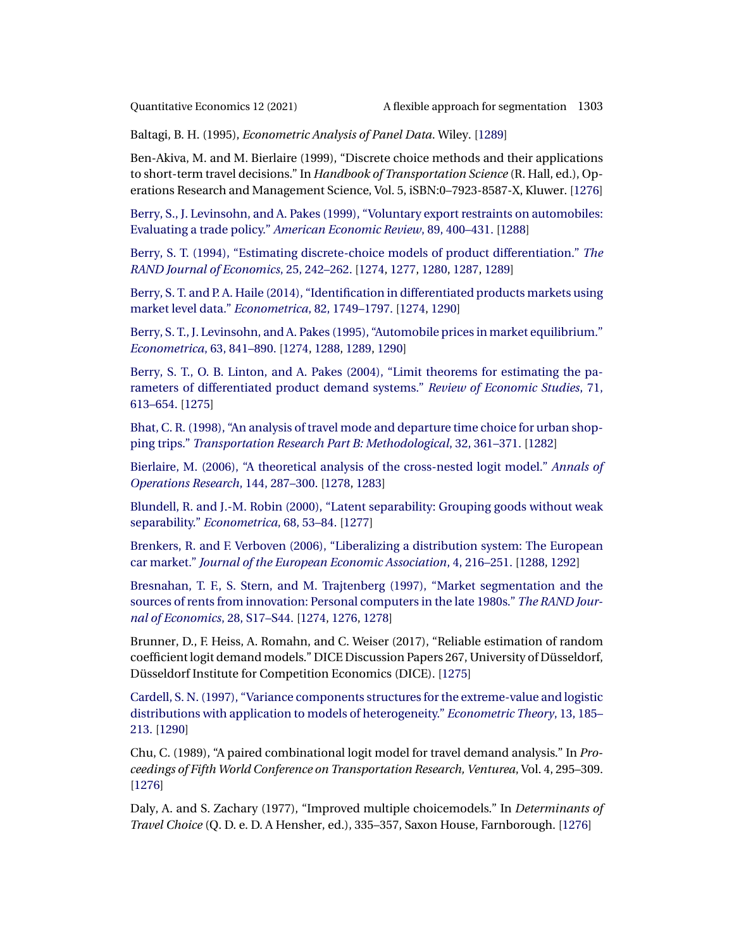<span id="page-30-0"></span>

Baltagi, B. H. (1995), *Econometric Analysis of Panel Data*. Wiley. [\[1289\]](#page-16-0)

Ben-Akiva, M. and M. Bierlaire (1999), "Discrete choice methods and their applications to short-term travel decisions." In *Handbook of Transportation Science* (R. Hall, ed.), Operations Research and Management Science, Vol. 5, iSBN:0–7923-8587-X, Kluwer. [\[1276\]](#page-3-0)

[Berry, S., J. Levinsohn, and A. Pakes \(1999\), "Voluntary export restraints on automobiles:](http://www.e-publications.org/srv/qe/linkserver/openurl?rft_dat=bib:4/Berry1999&rfe_id=urn:sici%2F1759-7323%282021%2912%3A4%3C1273%3ABBAFAF%3E2.0.CO%3B2-A) Evaluating a trade policy." *[American Economic Review](http://www.e-publications.org/srv/qe/linkserver/openurl?rft_dat=bib:4/Berry1999&rfe_id=urn:sici%2F1759-7323%282021%2912%3A4%3C1273%3ABBAFAF%3E2.0.CO%3B2-A)*, 89, 400–431. [\[1288\]](#page-15-0)

[Berry, S. T. \(1994\), "Estimating discrete-choice models of product differentiation."](http://www.e-publications.org/srv/qe/linkserver/openurl?rft_dat=bib:5/Berry1994&rfe_id=urn:sici%2F1759-7323%282021%2912%3A4%3C1273%3ABBAFAF%3E2.0.CO%3B2-A) *The [RAND Journal of Economics](http://www.e-publications.org/srv/qe/linkserver/openurl?rft_dat=bib:5/Berry1994&rfe_id=urn:sici%2F1759-7323%282021%2912%3A4%3C1273%3ABBAFAF%3E2.0.CO%3B2-A)*, 25, 242–262. [\[1274,](#page-1-0) [1277,](#page-4-0) [1280,](#page-7-0) [1287,](#page-14-0) [1289\]](#page-16-0)

[Berry, S. T. and P. A. Haile \(2014\), "Identification in differentiated products markets using](http://www.e-publications.org/srv/qe/linkserver/openurl?rft_dat=bib:6/BerryHaile2014&rfe_id=urn:sici%2F1759-7323%282021%2912%3A4%3C1273%3ABBAFAF%3E2.0.CO%3B2-A) [market level data."](http://www.e-publications.org/srv/qe/linkserver/openurl?rft_dat=bib:6/BerryHaile2014&rfe_id=urn:sici%2F1759-7323%282021%2912%3A4%3C1273%3ABBAFAF%3E2.0.CO%3B2-A) *Econometrica*, 82, 1749–1797. [\[1274,](#page-1-0) [1290\]](#page-17-0)

[Berry, S. T., J. Levinsohn, and A. Pakes \(1995\), "Automobile prices in market equilibrium."](http://www.e-publications.org/srv/qe/linkserver/openurl?rft_dat=bib:7/BLP1995&rfe_id=urn:sici%2F1759-7323%282021%2912%3A4%3C1273%3ABBAFAF%3E2.0.CO%3B2-A) *[Econometrica](http://www.e-publications.org/srv/qe/linkserver/openurl?rft_dat=bib:7/BLP1995&rfe_id=urn:sici%2F1759-7323%282021%2912%3A4%3C1273%3ABBAFAF%3E2.0.CO%3B2-A)*, 63, 841–890. [\[1274,](#page-1-0) [1288,](#page-15-0) [1289,](#page-16-0) [1290\]](#page-17-0)

[Berry, S. T., O. B. Linton, and A. Pakes \(2004\), "Limit theorems for estimating the pa](http://www.e-publications.org/srv/qe/linkserver/openurl?rft_dat=bib:8/BerryLintonPakes2004&rfe_id=urn:sici%2F1759-7323%282021%2912%3A4%3C1273%3ABBAFAF%3E2.0.CO%3B2-A)[rameters of differentiated product demand systems."](http://www.e-publications.org/srv/qe/linkserver/openurl?rft_dat=bib:8/BerryLintonPakes2004&rfe_id=urn:sici%2F1759-7323%282021%2912%3A4%3C1273%3ABBAFAF%3E2.0.CO%3B2-A) *Review of Economic Studies*, 71, [613–654.](http://www.e-publications.org/srv/qe/linkserver/openurl?rft_dat=bib:8/BerryLintonPakes2004&rfe_id=urn:sici%2F1759-7323%282021%2912%3A4%3C1273%3ABBAFAF%3E2.0.CO%3B2-A) [\[1275\]](#page-2-0)

[Bhat, C. R. \(1998\), "An analysis of travel mode and departure time choice for urban shop](http://www.e-publications.org/srv/qe/linkserver/openurl?rft_dat=bib:9/Bhat1998&rfe_id=urn:sici%2F1759-7323%282021%2912%3A4%3C1273%3ABBAFAF%3E2.0.CO%3B2-A)ping trips." *[Transportation Research Part B: Methodological](http://www.e-publications.org/srv/qe/linkserver/openurl?rft_dat=bib:9/Bhat1998&rfe_id=urn:sici%2F1759-7323%282021%2912%3A4%3C1273%3ABBAFAF%3E2.0.CO%3B2-A)*, 32, 361–371. [\[1282\]](#page-9-0)

[Bierlaire, M. \(2006\), "A theoretical analysis of the cross-nested logit model."](http://www.e-publications.org/srv/qe/linkserver/openurl?rft_dat=bib:10/Bierlaire2006&rfe_id=urn:sici%2F1759-7323%282021%2912%3A4%3C1273%3ABBAFAF%3E2.0.CO%3B2-A) *Annals of [Operations Research](http://www.e-publications.org/srv/qe/linkserver/openurl?rft_dat=bib:10/Bierlaire2006&rfe_id=urn:sici%2F1759-7323%282021%2912%3A4%3C1273%3ABBAFAF%3E2.0.CO%3B2-A)*, 144, 287–300. [\[1278,](#page-5-0) [1283\]](#page-10-0)

[Blundell, R. and J.-M. Robin \(2000\), "Latent separability: Grouping goods without weak](http://www.e-publications.org/srv/qe/linkserver/openurl?rft_dat=bib:11/BlundellRobin2000&rfe_id=urn:sici%2F1759-7323%282021%2912%3A4%3C1273%3ABBAFAF%3E2.0.CO%3B2-A) separability." *[Econometrica](http://www.e-publications.org/srv/qe/linkserver/openurl?rft_dat=bib:11/BlundellRobin2000&rfe_id=urn:sici%2F1759-7323%282021%2912%3A4%3C1273%3ABBAFAF%3E2.0.CO%3B2-A)*, 68, 53–84. [\[1277\]](#page-4-0)

[Brenkers, R. and F. Verboven \(2006\), "Liberalizing a distribution system: The European](http://www.e-publications.org/srv/qe/linkserver/openurl?rft_dat=bib:12/BrenkersVerboven2006&rfe_id=urn:sici%2F1759-7323%282021%2912%3A4%3C1273%3ABBAFAF%3E2.0.CO%3B2-A) car market." *[Journal of the European Economic Association](http://www.e-publications.org/srv/qe/linkserver/openurl?rft_dat=bib:12/BrenkersVerboven2006&rfe_id=urn:sici%2F1759-7323%282021%2912%3A4%3C1273%3ABBAFAF%3E2.0.CO%3B2-A)*, 4, 216–251. [\[1288,](#page-15-0) [1292\]](#page-19-0)

[Bresnahan, T. F., S. Stern, and M. Trajtenberg \(1997\), "Market segmentation and the](http://www.e-publications.org/srv/qe/linkserver/openurl?rft_dat=bib:13/BresnahanSternTrajtenberg1997&rfe_id=urn:sici%2F1759-7323%282021%2912%3A4%3C1273%3ABBAFAF%3E2.0.CO%3B2-A) [sources of rents from innovation: Personal computers in the late 1980s."](http://www.e-publications.org/srv/qe/linkserver/openurl?rft_dat=bib:13/BresnahanSternTrajtenberg1997&rfe_id=urn:sici%2F1759-7323%282021%2912%3A4%3C1273%3ABBAFAF%3E2.0.CO%3B2-A) *The RAND Jour[nal of Economics](http://www.e-publications.org/srv/qe/linkserver/openurl?rft_dat=bib:13/BresnahanSternTrajtenberg1997&rfe_id=urn:sici%2F1759-7323%282021%2912%3A4%3C1273%3ABBAFAF%3E2.0.CO%3B2-A)*, 28, S17–S44. [\[1274,](#page-1-0) [1276,](#page-3-0) [1278\]](#page-5-0)

Brunner, D., F. Heiss, A. Romahn, and C. Weiser (2017), "Reliable estimation of random coefficient logit demand models." DICE Discussion Papers 267, University of Düsseldorf, Düsseldorf Institute for Competition Economics (DICE). [\[1275\]](#page-2-0)

[Cardell, S. N. \(1997\), "Variance components structures for the extreme-value and logistic](http://www.e-publications.org/srv/qe/linkserver/openurl?rft_dat=bib:15/Cardell1997&rfe_id=urn:sici%2F1759-7323%282021%2912%3A4%3C1273%3ABBAFAF%3E2.0.CO%3B2-A) [distributions with application to models of heterogeneity."](http://www.e-publications.org/srv/qe/linkserver/openurl?rft_dat=bib:15/Cardell1997&rfe_id=urn:sici%2F1759-7323%282021%2912%3A4%3C1273%3ABBAFAF%3E2.0.CO%3B2-A) *Econometric Theory*, 13, 185– [213.](http://www.e-publications.org/srv/qe/linkserver/openurl?rft_dat=bib:15/Cardell1997&rfe_id=urn:sici%2F1759-7323%282021%2912%3A4%3C1273%3ABBAFAF%3E2.0.CO%3B2-A) [\[1290\]](#page-17-0)

Chu, C. (1989), "A paired combinational logit model for travel demand analysis." In *Proceedings of Fifth World Conference on Transportation Research, Venturea*, Vol. 4, 295–309. [\[1276\]](#page-3-0)

Daly, A. and S. Zachary (1977), "Improved multiple choicemodels." In *Determinants of Travel Choice* (Q. D. e. D. A Hensher, ed.), 335–357, Saxon House, Farnborough. [\[1276\]](#page-3-0)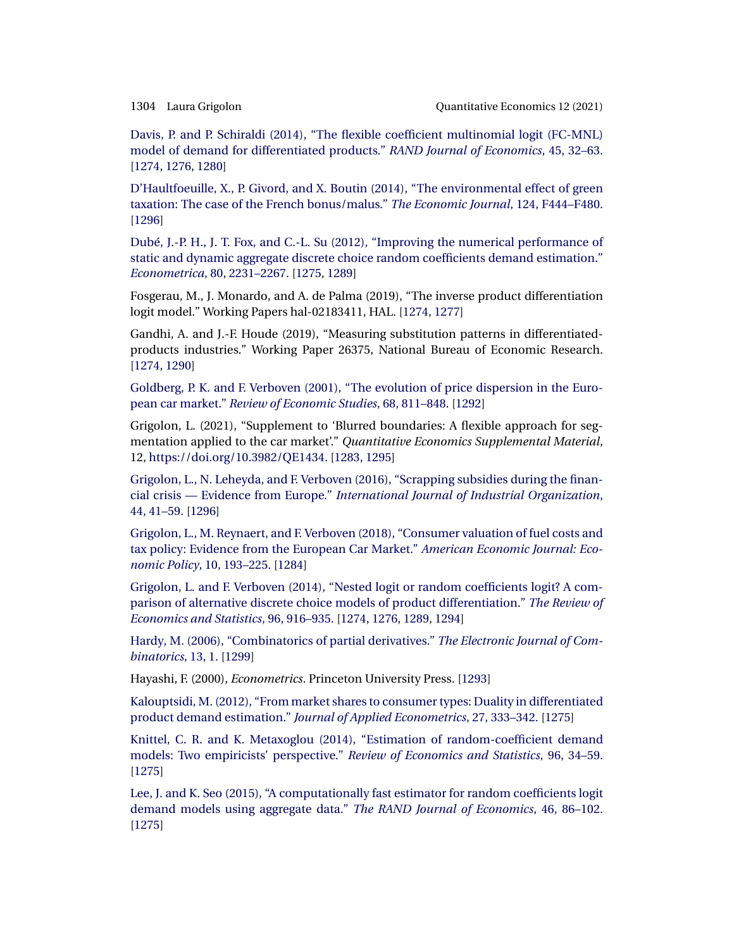<span id="page-31-0"></span>

[Davis, P. and P. Schiraldi \(2014\), "The flexible coefficient multinomial logit \(FC-MNL\)](http://www.e-publications.org/srv/qe/linkserver/openurl?rft_dat=bib:18/DavisSchiraldi2014&rfe_id=urn:sici%2F1759-7323%282021%2912%3A4%3C1273%3ABBAFAF%3E2.0.CO%3B2-A) [model of demand for differentiated products."](http://www.e-publications.org/srv/qe/linkserver/openurl?rft_dat=bib:18/DavisSchiraldi2014&rfe_id=urn:sici%2F1759-7323%282021%2912%3A4%3C1273%3ABBAFAF%3E2.0.CO%3B2-A) *RAND Journal of Economics*, 45, 32–63. [\[1274,](#page-1-0) [1276,](#page-3-0) [1280\]](#page-7-0)

[D'Haultfoeuille, X., P. Givord, and X. Boutin \(2014\), "The environmental effect of green](http://www.e-publications.org/srv/qe/linkserver/openurl?rft_dat=bib:19/Dhaul2014&rfe_id=urn:sici%2F1759-7323%282021%2912%3A4%3C1273%3ABBAFAF%3E2.0.CO%3B2-A) [taxation: The case of the French bonus/malus."](http://www.e-publications.org/srv/qe/linkserver/openurl?rft_dat=bib:19/Dhaul2014&rfe_id=urn:sici%2F1759-7323%282021%2912%3A4%3C1273%3ABBAFAF%3E2.0.CO%3B2-A) *The Economic Journal*, 124, F444–F480. [\[1296\]](#page-23-0)

[Dubé, J.-P. H., J. T. Fox, and C.-L. Su \(2012\), "Improving the numerical performance of](http://www.e-publications.org/srv/qe/linkserver/openurl?rft_dat=bib:20/DubeFoxSu2012&rfe_id=urn:sici%2F1759-7323%282021%2912%3A4%3C1273%3ABBAFAF%3E2.0.CO%3B2-A) [static and dynamic aggregate discrete choice random coefficients demand estimation."](http://www.e-publications.org/srv/qe/linkserver/openurl?rft_dat=bib:20/DubeFoxSu2012&rfe_id=urn:sici%2F1759-7323%282021%2912%3A4%3C1273%3ABBAFAF%3E2.0.CO%3B2-A) *Econometrica*[, 80, 2231–2267.](http://www.e-publications.org/srv/qe/linkserver/openurl?rft_dat=bib:20/DubeFoxSu2012&rfe_id=urn:sici%2F1759-7323%282021%2912%3A4%3C1273%3ABBAFAF%3E2.0.CO%3B2-A) [\[1275,](#page-2-0) [1289\]](#page-16-0)

Fosgerau, M., J. Monardo, and A. de Palma (2019), "The inverse product differentiation logit model." Working Papers hal-02183411, HAL. [\[1274,](#page-1-0) [1277\]](#page-4-0)

Gandhi, A. and J.-F. Houde (2019), "Measuring substitution patterns in differentiatedproducts industries." Working Paper 26375, National Bureau of Economic Research. [\[1274,](#page-1-0) [1290\]](#page-17-0)

[Goldberg, P. K. and F. Verboven \(2001\), "The evolution of price dispersion in the Euro](http://www.e-publications.org/srv/qe/linkserver/openurl?rft_dat=bib:23/GoldbergVerboven2001&rfe_id=urn:sici%2F1759-7323%282021%2912%3A4%3C1273%3ABBAFAF%3E2.0.CO%3B2-A)pean car market." *[Review of Economic Studies](http://www.e-publications.org/srv/qe/linkserver/openurl?rft_dat=bib:23/GoldbergVerboven2001&rfe_id=urn:sici%2F1759-7323%282021%2912%3A4%3C1273%3ABBAFAF%3E2.0.CO%3B2-A)*, 68, 811–848. [\[1292\]](#page-19-0)

Grigolon, L. (2021), "Supplement to 'Blurred boundaries: A flexible approach for segmentation applied to the car market'." *Quantitative Economics Supplemental Material*, 12, [https://doi.org/10.3982/QE1434.](https://doi.org/10.3982/QE1434) [\[1283,](#page-10-0) [1295\]](#page-22-0)

[Grigolon, L., N. Leheyda, and F. Verboven \(2016\), "Scrapping subsidies during the finan](http://www.e-publications.org/srv/qe/linkserver/openurl?rft_dat=bib:25/GrigolonLeheydaVerboven2016&rfe_id=urn:sici%2F1759-7323%282021%2912%3A4%3C1273%3ABBAFAF%3E2.0.CO%3B2-A)cial crisis — Evidence from Europe." *[International Journal of Industrial Organization](http://www.e-publications.org/srv/qe/linkserver/openurl?rft_dat=bib:25/GrigolonLeheydaVerboven2016&rfe_id=urn:sici%2F1759-7323%282021%2912%3A4%3C1273%3ABBAFAF%3E2.0.CO%3B2-A)*, [44, 41–59.](http://www.e-publications.org/srv/qe/linkserver/openurl?rft_dat=bib:25/GrigolonLeheydaVerboven2016&rfe_id=urn:sici%2F1759-7323%282021%2912%3A4%3C1273%3ABBAFAF%3E2.0.CO%3B2-A) [\[1296\]](#page-23-0)

[Grigolon, L., M. Reynaert, and F. Verboven \(2018\), "Consumer valuation of fuel costs and](http://www.e-publications.org/srv/qe/linkserver/openurl?rft_dat=bib:26/Grigolon2018&rfe_id=urn:sici%2F1759-7323%282021%2912%3A4%3C1273%3ABBAFAF%3E2.0.CO%3B2-A) [tax policy: Evidence from the European Car Market."](http://www.e-publications.org/srv/qe/linkserver/openurl?rft_dat=bib:26/Grigolon2018&rfe_id=urn:sici%2F1759-7323%282021%2912%3A4%3C1273%3ABBAFAF%3E2.0.CO%3B2-A) *American Economic Journal: Economic Policy*[, 10, 193–225.](http://www.e-publications.org/srv/qe/linkserver/openurl?rft_dat=bib:26/Grigolon2018&rfe_id=urn:sici%2F1759-7323%282021%2912%3A4%3C1273%3ABBAFAF%3E2.0.CO%3B2-A) [\[1284\]](#page-11-0)

[Grigolon, L. and F. Verboven \(2014\), "Nested logit or random coefficients logit? A com](http://www.e-publications.org/srv/qe/linkserver/openurl?rft_dat=bib:27/GrigolonVerboven2014&rfe_id=urn:sici%2F1759-7323%282021%2912%3A4%3C1273%3ABBAFAF%3E2.0.CO%3B2-A)[parison of alternative discrete choice models of product differentiation."](http://www.e-publications.org/srv/qe/linkserver/openurl?rft_dat=bib:27/GrigolonVerboven2014&rfe_id=urn:sici%2F1759-7323%282021%2912%3A4%3C1273%3ABBAFAF%3E2.0.CO%3B2-A) *The Review of [Economics and Statistics](http://www.e-publications.org/srv/qe/linkserver/openurl?rft_dat=bib:27/GrigolonVerboven2014&rfe_id=urn:sici%2F1759-7323%282021%2912%3A4%3C1273%3ABBAFAF%3E2.0.CO%3B2-A)*, 96, 916–935. [\[1274,](#page-1-0) [1276,](#page-3-0) [1289,](#page-16-0) [1294\]](#page-21-0)

[Hardy, M. \(2006\), "Combinatorics of partial derivatives."](http://www.e-publications.org/srv/qe/linkserver/openurl?rft_dat=bib:28/Hardy2006&rfe_id=urn:sici%2F1759-7323%282021%2912%3A4%3C1273%3ABBAFAF%3E2.0.CO%3B2-A) *The Electronic Journal of Com[binatorics](http://www.e-publications.org/srv/qe/linkserver/openurl?rft_dat=bib:28/Hardy2006&rfe_id=urn:sici%2F1759-7323%282021%2912%3A4%3C1273%3ABBAFAF%3E2.0.CO%3B2-A)*, 13, 1. [\[1299\]](#page-26-0)

Hayashi, F. (2000), *Econometrics*. Princeton University Press. [\[1293\]](#page-20-0)

[Kalouptsidi, M. \(2012\), "From market shares to consumer types: Duality in differentiated](http://www.e-publications.org/srv/qe/linkserver/openurl?rft_dat=bib:30/Kalouptsidi2012&rfe_id=urn:sici%2F1759-7323%282021%2912%3A4%3C1273%3ABBAFAF%3E2.0.CO%3B2-A) product demand estimation." *[Journal of Applied Econometrics](http://www.e-publications.org/srv/qe/linkserver/openurl?rft_dat=bib:30/Kalouptsidi2012&rfe_id=urn:sici%2F1759-7323%282021%2912%3A4%3C1273%3ABBAFAF%3E2.0.CO%3B2-A)*, 27, 333–342. [\[1275\]](#page-2-0)

Knittel, [C. R. and K. Metaxoglou \(2014\), "Estimation of random-coefficient demand](http://www.e-publications.org/srv/qe/linkserver/openurl?rft_dat=bib:31/Knittel2014&rfe_id=urn:sici%2F1759-7323%282021%2912%3A4%3C1273%3ABBAFAF%3E2.0.CO%3B2-A) [models: Two empiricists' perspective."](http://www.e-publications.org/srv/qe/linkserver/openurl?rft_dat=bib:31/Knittel2014&rfe_id=urn:sici%2F1759-7323%282021%2912%3A4%3C1273%3ABBAFAF%3E2.0.CO%3B2-A) *Review of Economics and Statistics*, 96, 34–59. [\[1275\]](#page-2-0)

[Lee, J. and K. Seo \(2015\), "A computationally fast estimator for random coefficients logit](http://www.e-publications.org/srv/qe/linkserver/openurl?rft_dat=bib:32/LeeSeo2015&rfe_id=urn:sici%2F1759-7323%282021%2912%3A4%3C1273%3ABBAFAF%3E2.0.CO%3B2-A) [demand models using aggregate data."](http://www.e-publications.org/srv/qe/linkserver/openurl?rft_dat=bib:32/LeeSeo2015&rfe_id=urn:sici%2F1759-7323%282021%2912%3A4%3C1273%3ABBAFAF%3E2.0.CO%3B2-A) *The RAND Journal of Economics*, 46, 86–102. [\[1275\]](#page-2-0)